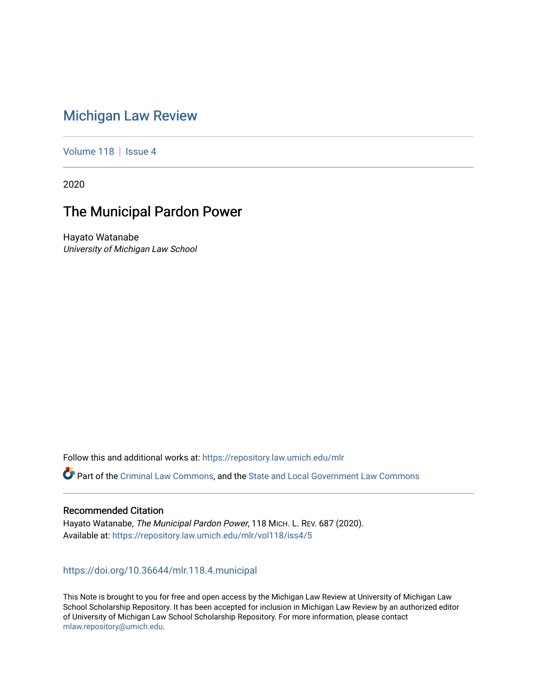# [Michigan Law Review](https://repository.law.umich.edu/mlr)

[Volume 118](https://repository.law.umich.edu/mlr/vol118) | [Issue 4](https://repository.law.umich.edu/mlr/vol118/iss4)

2020

# The Municipal Pardon Power

Hayato Watanabe University of Michigan Law School

Follow this and additional works at: [https://repository.law.umich.edu/mlr](https://repository.law.umich.edu/mlr?utm_source=repository.law.umich.edu%2Fmlr%2Fvol118%2Fiss4%2F5&utm_medium=PDF&utm_campaign=PDFCoverPages) 

Part of the [Criminal Law Commons,](http://network.bepress.com/hgg/discipline/912?utm_source=repository.law.umich.edu%2Fmlr%2Fvol118%2Fiss4%2F5&utm_medium=PDF&utm_campaign=PDFCoverPages) and the State and Local Government Law Commons

# Recommended Citation

Hayato Watanabe, The Municipal Pardon Power, 118 MICH. L. REV. 687 (2020). Available at: [https://repository.law.umich.edu/mlr/vol118/iss4/5](https://repository.law.umich.edu/mlr/vol118/iss4/5?utm_source=repository.law.umich.edu%2Fmlr%2Fvol118%2Fiss4%2F5&utm_medium=PDF&utm_campaign=PDFCoverPages) 

# <https://doi.org/10.36644/mlr.118.4.municipal>

This Note is brought to you for free and open access by the Michigan Law Review at University of Michigan Law School Scholarship Repository. It has been accepted for inclusion in Michigan Law Review by an authorized editor of University of Michigan Law School Scholarship Repository. For more information, please contact [mlaw.repository@umich.edu.](mailto:mlaw.repository@umich.edu)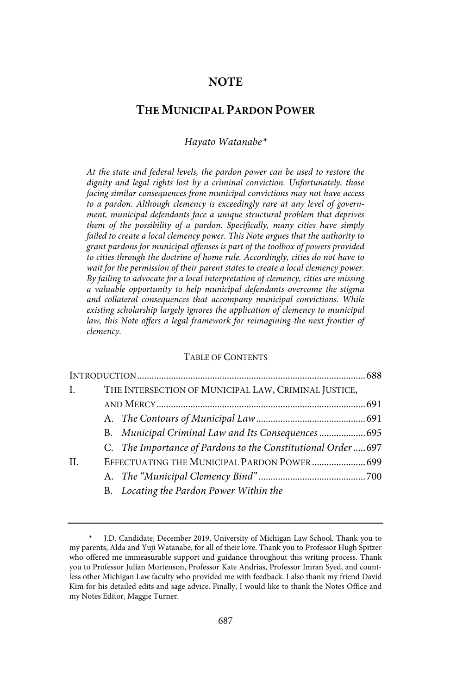# **NOTE**

# **THE MUNICIPAL PARDON POWER**

Hayato Watanabe\*

At the state and federal levels, the pardon power can be used to restore the dignity and legal rights lost by a criminal conviction. Unfortunately, those facing similar consequences from municipal convictions may not have access to a pardon. Although clemency is exceedingly rare at any level of government, municipal defendants face a unique structural problem that deprives them of the possibility of a pardon. Specifically, many cities have simply failed to create a local clemency power. This Note argues that the authority to grant pardons for municipal offenses is part of the toolbox of powers provided to cities through the doctrine of home rule . Accordingly, cities do not have to wait for the permission of their parent states to create a local clemency power. By failing to advocate for a local interpretation of clemency, cities are missing a valuable opportunity to help municipal defendants overcome the stigma and collateral consequences that accompany municipal convictions. While existing scholarship largely ignores the application of clemency to municipal law, this Note offers a legal framework for reimagining the next frontier of clemency.

#### TABLE OF CONTENTS

| L.           | THE INTERSECTION OF MUNICIPAL LAW, CRIMINAL JUSTICE, |                                                             |  |  |  |
|--------------|------------------------------------------------------|-------------------------------------------------------------|--|--|--|
|              |                                                      |                                                             |  |  |  |
|              |                                                      |                                                             |  |  |  |
|              |                                                      | B. Municipal Criminal Law and Its Consequences  695         |  |  |  |
|              |                                                      | C. The Importance of Pardons to the Constitutional Order697 |  |  |  |
| $\mathbf{H}$ |                                                      | EFFECTUATING THE MUNICIPAL PARDON POWER 699                 |  |  |  |
|              |                                                      |                                                             |  |  |  |
|              |                                                      | B. Locating the Pardon Power Within the                     |  |  |  |

J.D. Candidate, December 2019, University of Michigan Law School. Thank you to my parents, Alda and Yuji Watanabe, for all of their love. Thank you to Professor Hugh Spitzer who offered me immeasurable support and guidance throughout this writing process. Thank you to Professor Julian Mortenson, Professor Kate Andrias, Professor Imran Syed, and countless other Michigan Law faculty who provided me with feedback. I also thank my friend David Kim for his detailed edits and sage advice. Finally, I would like to thank the Notes Office and my Notes Editor, Maggie Turner.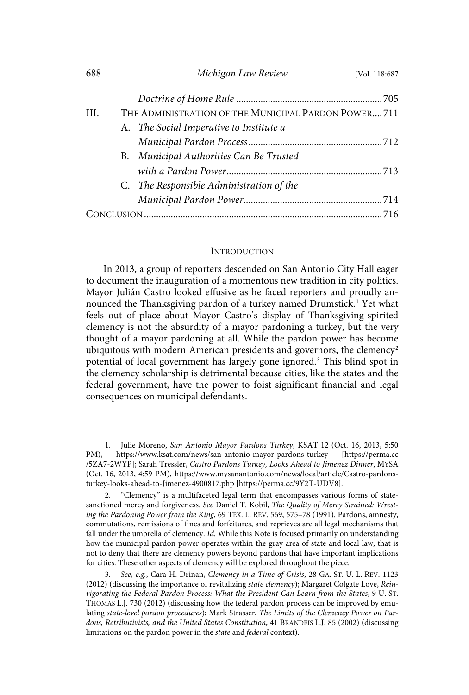| 688 | Michigan Law Review | [Vol. 118:687 |
|-----|---------------------|---------------|
|     |                     |               |

| III. | THE ADMINISTRATION OF THE MUNICIPAL PARDON POWER 711 |                                          |  |
|------|------------------------------------------------------|------------------------------------------|--|
|      |                                                      | A. The Social Imperative to Institute a  |  |
|      |                                                      |                                          |  |
|      |                                                      | B. Municipal Authorities Can Be Trusted  |  |
|      |                                                      |                                          |  |
|      |                                                      | C. The Responsible Administration of the |  |
|      |                                                      |                                          |  |
|      |                                                      |                                          |  |
|      |                                                      |                                          |  |

#### **INTRODUCTION**

In 2013, a group of reporters descended on San Antonio City Hall eager to document the inauguration of a momentous new tradition in city politics. Mayor Julián Castro looked effusive as he faced reporters and proudly announced the Thanksgiving pardon of a turkey named Drumstick.<sup>1</sup> Yet what feels out of place about Mayor Castro's display of Thanksgiving-spirited clemency is not the absurdity of a mayor pardoning a turkey, but the very thought of a mayor pardoning at all. While the pardon power has become ubiquitous with modern American presidents and governors, the clemency<sup>2</sup> potential of local government has largely gone ignored.<sup>3</sup> This blind spot in the clemency scholarship is detrimental because cities, like the states and the federal government, have the power to foist significant financial and legal consequences on municipal defendants.

<sup>1.</sup> Julie Moreno, San Antonio Mayor Pardons Turkey, KSAT 12 (Oct. 16, 2013, 5:50 PM), https://www.ksat.com/news/san-antonio-mayor-pardons-turkey [https://perma.cc /5ZA7-2WYP]; Sarah Tressler, Castro Pardons Turkey, Looks Ahead to Jimenez Dinner, MYSA (Oct. 16, 2013, 4:59 PM), https://www.mysanantonio.com/news/local/article/Castro-pardonsturkey-looks-ahead-to-Jimenez-4900817.php [https://perma.cc/9Y2T-UDV8].

<sup>2.</sup> "Clemency" is a multifaceted legal term that encompasses various forms of statesanctioned mercy and forgiveness. See Daniel T. Kobil, The Quality of Mercy Strained: Wresting the Pardoning Power from the King, 69 TEX. L. REV. 569, 575–78 (1991). Pardons, amnesty, commutations, remissions of fines and forfeitures, and reprieves are all legal mechanisms that fall under the umbrella of clemency. Id. While this Note is focused primarily on understanding how the municipal pardon power operates within the gray area of state and local law, that is not to deny that there are clemency powers beyond pardons that have important implications for cities. These other aspects of clemency will be explored throughout the piece.

<sup>3.</sup> See, e.g., Cara H. Drinan, Clemency in a Time of Crisis, 28 GA. ST. U. L. REV. 1123 (2012) (discussing the importance of revitalizing state clemency); Margaret Colgate Love, Reinvigorating the Federal Pardon Process: What the President Can Learn from the States, 9 U. ST. THOMAS L.J. 730 (2012) (discussing how the federal pardon process can be improved by emulating state-level pardon procedures); Mark Strasser, The Limits of the Clemency Power on Pardons, Retributivists, and the United States Constitution, 41 BRANDEIS L.J. 85 (2002) (discussing limitations on the pardon power in the state and federal context).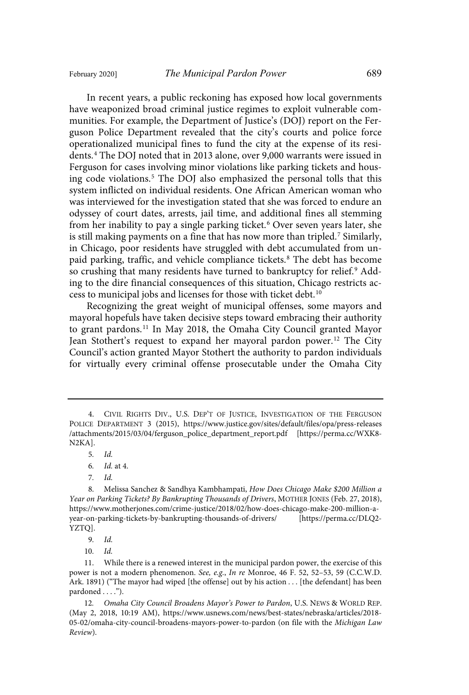In recent years, a public reckoning has exposed how local governments have weaponized broad criminal justice regimes to exploit vulnerable communities. For example, the Department of Justice's (DOJ) report on the Ferguson Police Department revealed that the city's courts and police force operationalized municipal fines to fund the city at the expense of its residents. <sup>4</sup> The DOJ noted that in 2013 alone, over 9,000 warrants were issued in Ferguson for cases involving minor violations like parking tickets and housing code violations.<sup>5</sup> The DOJ also emphasized the personal tolls that this system inflicted on individual residents. One African American woman who was interviewed for the investigation stated that she was forced to endure an odyssey of court dates, arrests, jail time, and additional fines all stemming from her inability to pay a single parking ticket.<sup>6</sup> Over seven years later, she is still making payments on a fine that has now more than tripled.<sup>7</sup> Similarly, in Chicago, poor residents have struggled with debt accumulated from unpaid parking, traffic, and vehicle compliance tickets.<sup>8</sup> The debt has become so crushing that many residents have turned to bankruptcy for relief.<sup>9</sup> Adding to the dire financial consequences of this situation, Chicago restricts access to municipal jobs and licenses for those with ticket debt.<sup>10</sup>

Recognizing the great weight of municipal offenses, some mayors and mayoral hopefuls have taken decisive steps toward embracing their authority to grant pardons.<sup>11</sup> In May 2018, the Omaha City Council granted Mayor Jean Stothert's request to expand her mayoral pardon power.<sup>12</sup> The City Council's action granted Mayor Stothert the authority to pardon individuals for virtually every criminal offense prosecutable under the Omaha City

5. Id.

7. Id.

10. Id.

<sup>4.</sup> CIVIL RIGHTS DIV., U.S. DEP'T OF JUSTICE, INVESTIGATION OF THE FERGUSON POLICE DEPARTMENT 3 (2015), https://www.justice.gov/sites/default/files/opa/press-releases /attachments/2015/03/04/ferguson\_police\_department\_report.pdf [https://perma.cc/WXK8- N2KA].

<sup>6.</sup> *Id.* at 4.

<sup>8.</sup> Melissa Sanchez & Sandhya Kambhampati, How Does Chicago Make \$200 Million a Year on Parking Tickets? By Bankrupting Thousands of Drivers, MOTHER JONES (Feb. 27, 2018), https://www.motherjones.com/crime-justice/2018/02/how-does-chicago-make-200-million-ayear-on-parking-tickets-by-bankrupting-thousands-of-drivers/ [https://perma.cc/DLQ2- YZTQ].

<sup>9.</sup> Id.

<sup>11.</sup> While there is a renewed interest in the municipal pardon power, the exercise of this power is not a modern phenomenon. See, e.g., In re Monroe, 46 F. 52, 52-53, 59 (C.C.W.D. Ark. 1891) ("The mayor had wiped [the offense] out by his action . . . [the defendant] has been pardoned . . . .").

<sup>12.</sup> Omaha City Council Broadens Mayor's Power to Pardon, U.S. NEWS & WORLD REP. (May 2, 2018, 10:19 AM), https://www.usnews.com/news/best-states/nebraska/articles/2018- 05-02/omaha-city-council-broadens-mayors-power-to-pardon (on file with the Michigan Law Review).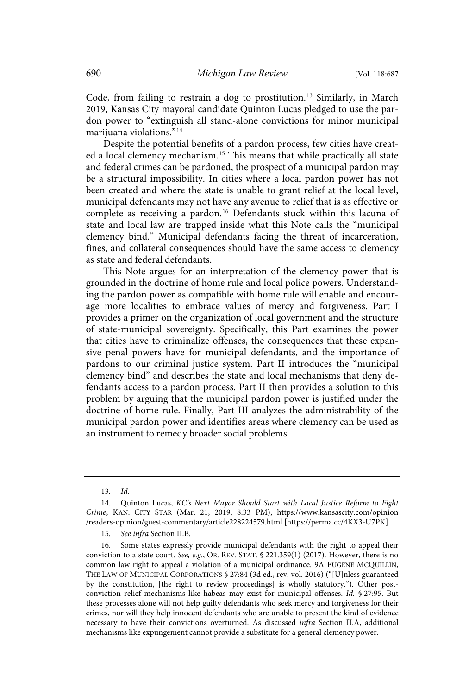Code, from failing to restrain a dog to prostitution.<sup>13</sup> Similarly, in March 2019, Kansas City mayoral candidate Quinton Lucas pledged to use the pardon power to "extinguish all stand-alone convictions for minor municipal marijuana violations." 14

Despite the potential benefits of a pardon process, few cities have created a local clemency mechanism. <sup>15</sup> This means that while practically all state and federal crimes can be pardoned, the prospect of a municipal pardon may be a structural impossibility. In cities where a local pardon power has not been created and where the state is unable to grant relief at the local level, municipal defendants may not have any avenue to relief that is as effective or complete as receiving a pardon. <sup>16</sup> Defendants stuck within this lacuna of state and local law are trapped inside what this Note calls the "municipal clemency bind." Municipal defendants facing the threat of incarceration, fines, and collateral consequences should have the same access to clemency as state and federal defendants.

This Note argues for an interpretation of the clemency power that is grounded in the doctrine of home rule and local police powers. Understanding the pardon power as compatible with home rule will enable and encourage more localities to embrace values of mercy and forgiveness. Part I provides a primer on the organization of local government and the structure of state-municipal sovereignty. Specifically, this Part examines the power that cities have to criminalize offenses, the consequences that these expansive penal powers have for municipal defendants, and the importance of pardons to our criminal justice system. Part II introduces the "municipal clemency bind" and describes the state and local mechanisms that deny defendants access to a pardon process. Part II then provides a solution to this problem by arguing that the municipal pardon power is justified under the doctrine of home rule. Finally, Part III analyzes the administrability of the municipal pardon power and identifies areas where clemency can be used as an instrument to remedy broader social problems.

<sup>13.</sup> Id.

<sup>14.</sup> Quinton Lucas, KC's Next Mayor Should Start with Local Justice Reform to Fight Crime, KAN. CITY STAR (Mar. 21, 2019, 8:33 PM), https://www.kansascity.com/opinion /readers-opinion/guest-commentary/article228224579.html [https://perma.cc/4KX3-U7PK].

<sup>15.</sup> See infra Section II.B.

<sup>16.</sup> Some states expressly provide municipal defendants with the right to appeal their conviction to a state court. See, e.g., OR. REV. STAT.  $\S$  221.359(1) (2017). However, there is no common law right to appeal a violation of a municipal ordinance. 9A EUGENE MCQUILLIN, THE LAW OF MUNICIPAL CORPORATIONS § 27:84 (3d ed., rev. vol. 2016) ("[U]nless guaranteed by the constitution, [the right to review proceedings] is wholly statutory."). Other postconviction relief mechanisms like habeas may exist for municipal offenses. Id. § 27:95. But these processes alone will not help guilty defendants who seek mercy and forgiveness for their crimes, nor will they help innocent defendants who are unable to present the kind of evidence necessary to have their convictions overturned. As discussed infra Section II.A, additional mechanisms like expungement cannot provide a substitute for a general clemency power.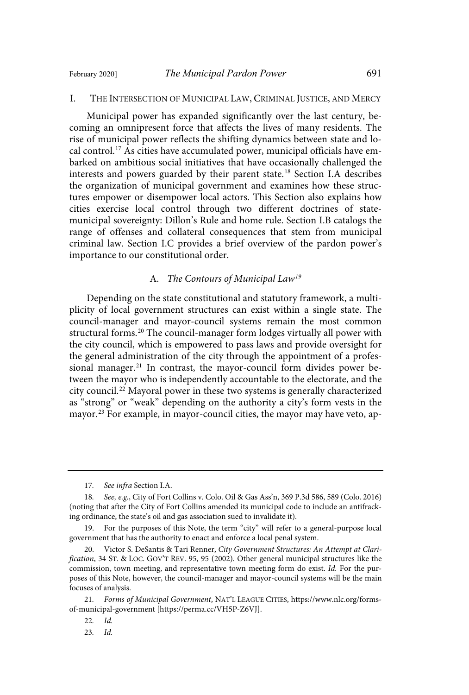#### I. THE INTERSECTION OF MUNICIPAL LAW, CRIMINAL JUSTICE, AND MERCY

Municipal power has expanded significantly over the last century, becoming an omnipresent force that affects the lives of many residents. The rise of municipal power reflects the shifting dynamics between state and local control. <sup>17</sup> As cities have accumulated power, municipal officials have embarked on ambitious social initiatives that have occasionally challenged the interests and powers guarded by their parent state.<sup>18</sup> Section I.A describes the organization of municipal government and examines how these structures empower or disempower local actors. This Section also explains how cities exercise local control through two different doctrines of statemunicipal sovereignty: Dillon's Rule and home rule. Section I.B catalogs the range of offenses and collateral consequences that stem from municipal criminal law. Section I.C provides a brief overview of the pardon power's importance to our constitutional order.

#### A. The Contours of Municipal Law<sup>19</sup>

Depending on the state constitutional and statutory framework, a multiplicity of local government structures can exist within a single state. The council-manager and mayor-council systems remain the most common structural forms.<sup>20</sup> The council-manager form lodges virtually all power with the city council, which is empowered to pass laws and provide oversight for the general administration of the city through the appointment of a professional manager. <sup>21</sup> In contrast, the mayor-council form divides power between the mayor who is independently accountable to the electorate, and the city council. <sup>22</sup> Mayoral power in these two systems is generally characterized as "strong" or "weak" depending on the authority a city's form vests in the mayor. <sup>23</sup> For example, in mayor-council cities, the mayor may have veto, ap-

<sup>17.</sup> See infra Section I.A.

<sup>18.</sup> See, e.g., City of Fort Collins v. Colo. Oil & Gas Ass'n, 369 P.3d 586, 589 (Colo. 2016) (noting that after the City of Fort Collins amended its municipal code to include an antifracking ordinance, the state's oil and gas association sued to invalidate it).

<sup>19.</sup> For the purposes of this Note, the term "city" will refer to a general-purpose local government that has the authority to enact and enforce a local penal system.

<sup>20.</sup> Victor S. DeSantis & Tari Renner, City Government Structures: An Attempt at Clarification, 34 ST. & LOC. GOV'T REV. 95, 95 (2002). Other general municipal structures like the commission, town meeting, and representative town meeting form do exist. Id. For the purposes of this Note, however, the council-manager and mayor-council systems will be the main focuses of analysis.

<sup>21</sup> . Forms of Municipal Government, NAT'L LEAGUE CITIES, https://www.nlc.org/formsof-municipal-government [https://perma.cc/VH5P-Z6VJ].

 $22.$   $Id.$ 

 $23.$   $Id.$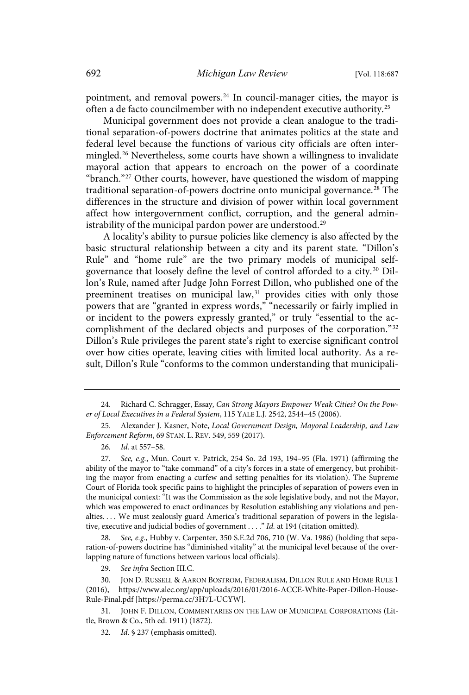pointment, and removal powers. <sup>24</sup> In council-manager cities, the mayor is often a de facto councilmember with no independent executive authority.<sup>25</sup>

Municipal government does not provide a clean analogue to the traditional separation-of-powers doctrine that animates politics at the state and federal level because the functions of various city officials are often intermingled.<sup>26</sup> Nevertheless, some courts have shown a willingness to invalidate mayoral action that appears to encroach on the power of a coordinate "branch."<sup>27</sup> Other courts, however, have questioned the wisdom of mapping traditional separation-of-powers doctrine onto municipal governance. <sup>28</sup> The differences in the structure and division of power within local government affect how intergovernment conflict, corruption, and the general administrability of the municipal pardon power are understood.<sup>29</sup>

A locality's ability to pursue policies like clemency is also affected by the basic structural relationship between a city and its parent state. "Dillon's Rule" and "home rule" are the two primary models of municipal selfgovernance that loosely define the level of control afforded to a city.<sup>30</sup> Dillon's Rule, named after Judge John Forrest Dillon, who published one of the preeminent treatises on municipal law,<sup>31</sup> provides cities with only those powers that are "granted in express words," "necessarily or fairly implied in or incident to the powers expressly granted," or truly "essential to the accomplishment of the declared objects and purposes of the corporation."<sup>32</sup> Dillon's Rule privileges the parent state's right to exercise significant control over how cities operate, leaving cities with limited local authority. As a result, Dillon's Rule "conforms to the common understanding that municipali-

28. See, e.g., Hubby v. Carpenter, 350 S.E.2d 706, 710 (W. Va. 1986) (holding that separation-of-powers doctrine has "diminished vitality" at the municipal level because of the overlapping nature of functions between various local officials).

29. See infra Section III.C.

30. JON D. RUSSELL & AARON BOSTROM, FEDERALISM, DILLON RULE AND HOME RULE 1 (2016), https://www.alec.org/app/uploads/2016/01/2016-ACCE-White-Paper-Dillon-House-Rule-Final.pdf [https://perma.cc/3H7L-UCYW].

31. JOHN F. DILLON, COMMENTARIES ON THE LAW OF MUNICIPAL CORPORATIONS (Little, Brown & Co., 5th ed. 1911) (1872).

<sup>24.</sup> Richard C. Schragger, Essay, Can Strong Mayors Empower Weak Cities? On the Power of Local Executives in a Federal System, 115 YALE L.J. 2542, 2544–45 (2006).

<sup>25.</sup> Alexander J. Kasner, Note, Local Government Design, Mayoral Leadership, and Law Enforcement Reform, 69 STAN. L. REV. 549, 559 (2017).

<sup>26.</sup> Id. at 557-58.

<sup>27.</sup> See, e.g., Mun. Court v. Patrick, 254 So. 2d 193, 194-95 (Fla. 1971) (affirming the ability of the mayor to "take command" of a city's forces in a state of emergency, but prohibiting the mayor from enacting a curfew and setting penalties for its violation). The Supreme Court of Florida took specific pains to highlight the principles of separation of powers even in the municipal context: "It was the Commission as the sole legislative body, and not the Mayor, which was empowered to enact ordinances by Resolution establishing any violations and penalties. . . . We must zealously guard America's traditional separation of powers in the legislative, executive and judicial bodies of government . . . ." Id. at 194 (citation omitted).

<sup>32.</sup> Id. § 237 (emphasis omitted).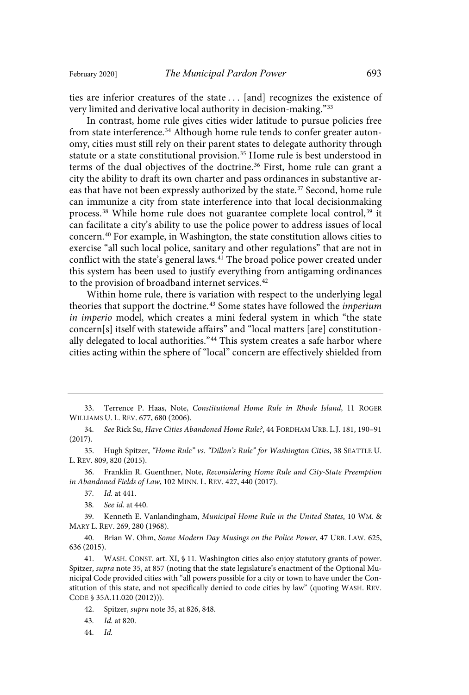ties are inferior creatures of the state . . . [and] recognizes the existence of very limited and derivative local authority in decision-making."<sup>33</sup>

In contrast, home rule gives cities wider latitude to pursue policies free from state interference.<sup>34</sup> Although home rule tends to confer greater autonomy, cities must still rely on their parent states to delegate authority through statute or a state constitutional provision.<sup>35</sup> Home rule is best understood in terms of the dual objectives of the doctrine. <sup>36</sup> First, home rule can grant a city the ability to draft its own charter and pass ordinances in substantive areas that have not been expressly authorized by the state.<sup>37</sup> Second, home rule can immunize a city from state interference into that local decisionmaking process.<sup>38</sup> While home rule does not guarantee complete local control,<sup>39</sup> it can facilitate a city's ability to use the police power to address issues of local concern.<sup>40</sup> For example, in Washington, the state constitution allows cities to exercise "all such local police, sanitary and other regulations" that are not in conflict with the state's general laws. <sup>41</sup> The broad police power created under this system has been used to justify everything from antigaming ordinances to the provision of broadband internet services.<sup>42</sup>

Within home rule, there is variation with respect to the underlying legal theories that support the doctrine.<sup>43</sup> Some states have followed the *imperium* in imperio model, which creates a mini federal system in which "the state concern[s] itself with statewide affairs" and "local matters [are] constitutionally delegated to local authorities."<sup>44</sup> This system creates a safe harbor where cities acting within the sphere of "local" concern are effectively shielded from

34. See Rick Su, Have Cities Abandoned Home Rule?, 44 FORDHAM URB. L.J. 181, 190-91 (2017).

- 35. Hugh Spitzer, "Home Rule" vs . "Dillon's Rule" for Washington Cities, 38 SEATTLE U. L. REV. 809, 820 (2015).
- 36. Franklin R. Guenthner, Note, Reconsidering Home Rule and City-State Preemption in Abandoned Fields of Law, 102 MINN. L. REV. 427, 440 (2017).
	- 37. *Id.* at 441.
	- 38. See id. at 440.

39. Kenneth E. Vanlandingham, Municipal Home Rule in the United States, 10 WM. & MARY L. REV. 269, 280 (1968).

40. Brian W. Ohm, Some Modern Day Musings on the Police Power, 47 URB. LAW. 625, 636 (2015).

41. WASH. CONST. art. XI, § 11. Washington cities also enjoy statutory grants of power. Spitzer, supra note 35, at 857 (noting that the state legislature's enactment of the Optional Municipal Code provided cities with "all powers possible for a city or town to have under the Constitution of this state, and not specifically denied to code cities by law" (quoting WASH. REV. CODE § 35A.11.020 (2012))).

- 43. *Id.* at 820.
- 44. Id.

<sup>33.</sup> Terrence P. Haas, Note, Constitutional Home Rule in Rhode Island, 11 ROGER WILLIAMS U. L. REV. 677, 680 (2006).

<sup>42.</sup> Spitzer, supra note 35, at 826, 848.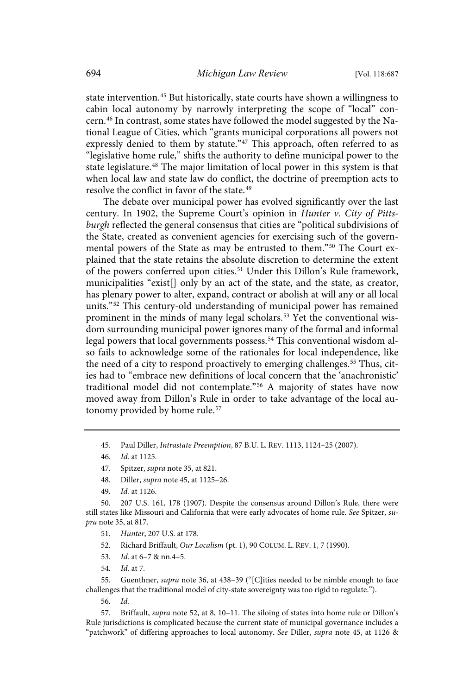state intervention.<sup>45</sup> But historically, state courts have shown a willingness to cabin local autonomy by narrowly interpreting the scope of "local" concern. <sup>46</sup> In contrast, some states have followed the model suggested by the National League of Cities, which "grants municipal corporations all powers not expressly denied to them by statute."<sup>47</sup> This approach, often referred to as "legislative home rule," shifts the authority to define municipal power to the state legislature. <sup>48</sup> The major limitation of local power in this system is that when local law and state law do conflict, the doctrine of preemption acts to resolve the conflict in favor of the state.<sup>49</sup>

The debate over municipal power has evolved significantly over the last century. In 1902, the Supreme Court's opinion in Hunter v. City of Pittsburgh reflected the general consensus that cities are "political subdivisions of the State, created as convenient agencies for exercising such of the governmental powers of the State as may be entrusted to them."<sup>50</sup> The Court explained that the state retains the absolute discretion to determine the extent of the powers conferred upon cities. <sup>51</sup> Under this Dillon's Rule framework, municipalities "exist[] only by an act of the state, and the state, as creator, has plenary power to alter, expand, contract or abolish at will any or all local units."<sup>52</sup> This century-old understanding of municipal power has remained prominent in the minds of many legal scholars.<sup>53</sup> Yet the conventional wisdom surrounding municipal power ignores many of the formal and informal legal powers that local governments possess.<sup>54</sup> This conventional wisdom also fails to acknowledge some of the rationales for local independence, like the need of a city to respond proactively to emerging challenges.<sup>55</sup> Thus, cities had to "embrace new definitions of local concern that the 'anachronistic' traditional model did not contemplate."<sup>56</sup> A majority of states have now moved away from Dillon's Rule in order to take advantage of the local autonomy provided by home rule.<sup>57</sup>

45. Paul Diller, Intrastate Preemption, 87 B.U. L. REV. 1113, 1124–25 (2007).

- 48. Diller, supra note 45, at 1125–26.
- 49. *Id.* at 1126.

50. 207 U.S. 161, 178 (1907). Despite the consensus around Dillon's Rule, there were still states like Missouri and California that were early advocates of home rule. See Spitzer, supra note 35, at 817.

- 51. Hunter, 207 U.S. at 178.
- 52. Richard Briffault, Our Localism (pt. 1), 90 COLUM. L. REV. 1, 7 (1990).
- 53. *Id.* at 6-7 & nn.4-5.
- 54. *Id.* at 7.

55. Guenthner, supra note 36, at 438–39 ("[C]ities needed to be nimble enough to face challenges that the traditional model of city-state sovereignty was too rigid to regulate.").

56. Id.

57. Briffault, supra note 52, at 8, 10–11. The siloing of states into home rule or Dillon's Rule jurisdictions is complicated because the current state of municipal governance includes a "patchwork" of differing approaches to local autonomy. See Diller, supra note 45, at 1126 &

<sup>46.</sup> *Id.* at 1125.

<sup>47.</sup> Spitzer, supra note 35, at 821.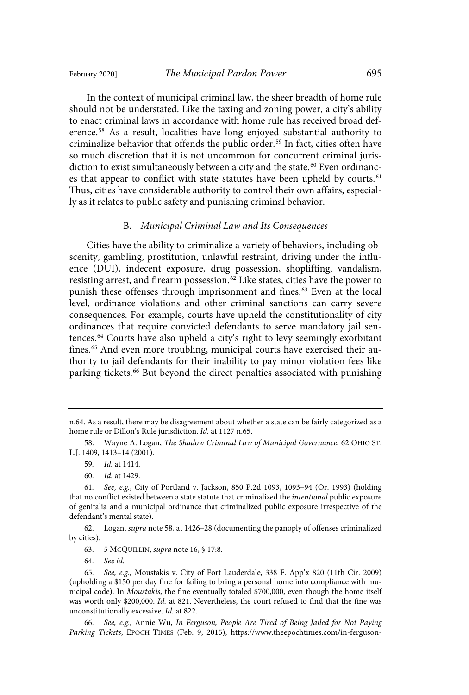In the context of municipal criminal law, the sheer breadth of home rule should not be understated. Like the taxing and zoning power, a city's ability to enact criminal laws in accordance with home rule has received broad deference. <sup>58</sup> As a result, localities have long enjoyed substantial authority to criminalize behavior that offends the public order. <sup>59</sup> In fact, cities often have so much discretion that it is not uncommon for concurrent criminal jurisdiction to exist simultaneously between a city and the state.<sup>60</sup> Even ordinances that appear to conflict with state statutes have been upheld by courts.<sup>61</sup> Thus, cities have considerable authority to control their own affairs, especially as it relates to public safety and punishing criminal behavior.

## B. Municipal Criminal Law and Its Consequences

Cities have the ability to criminalize a variety of behaviors, including obscenity, gambling, prostitution, unlawful restraint, driving under the influence (DUI), indecent exposure, drug possession, shoplifting, vandalism, resisting arrest, and firearm possession. <sup>62</sup> Like states, cities have the power to punish these offenses through imprisonment and fines.<sup>63</sup> Even at the local level, ordinance violations and other criminal sanctions can carry severe consequences. For example, courts have upheld the constitutionality of city ordinances that require convicted defendants to serve mandatory jail sentences. <sup>64</sup> Courts have also upheld a city's right to levy seemingly exorbitant fines.<sup>65</sup> And even more troubling, municipal courts have exercised their authority to jail defendants for their inability to pay minor violation fees like parking tickets.<sup>66</sup> But beyond the direct penalties associated with punishing

60. *Id.* at 1429.

62. Logan, supra note 58, at 1426–28 (documenting the panoply of offenses criminalized by cities).

63. 5 MCQUILLIN, supra note 16, § 17:8.

64. See id.

n.64. As a result, there may be disagreement about whether a state can be fairly categorized as a home rule or Dillon's Rule jurisdiction. Id. at 1127 n.65.

<sup>58.</sup> Wayne A. Logan, The Shadow Criminal Law of Municipal Governance, 62 OHIO ST. L.J. 1409, 1413–14 (2001).

<sup>59.</sup> *Id.* at 1414.

<sup>61.</sup> See, e.g., City of Portland v. Jackson, 850 P.2d 1093, 1093-94 (Or. 1993) (holding that no conflict existed between a state statute that criminalized the intentional public exposure of genitalia and a municipal ordinance that criminalized public exposure irrespective of the defendant's mental state).

<sup>65.</sup> See, e.g., Moustakis v. City of Fort Lauderdale, 338 F. App'x 820 (11th Cir. 2009) (upholding a \$150 per day fine for failing to bring a personal home into compliance with municipal code). In Moustakis, the fine eventually totaled \$700,000, even though the home itself was worth only \$200,000. Id. at 821. Nevertheless, the court refused to find that the fine was unconstitutionally excessive. Id. at 822.

<sup>66.</sup> See, e.g., Annie Wu, In Ferguson, People Are Tired of Being Jailed for Not Paying Parking Tickets, EPOCH TIMES (Feb. 9, 2015), https://www.theepochtimes.com/in-ferguson-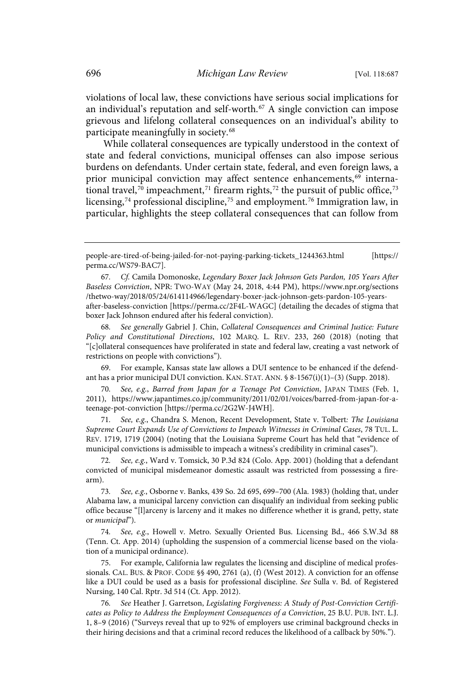violations of local law, these convictions have serious social implications for an individual's reputation and self-worth.<sup>67</sup> A single conviction can impose grievous and lifelong collateral consequences on an individual's ability to participate meaningfully in society.<sup>68</sup>

While collateral consequences are typically understood in the context of state and federal convictions, municipal offenses can also impose serious burdens on defendants. Under certain state, federal, and even foreign laws, a prior municipal conviction may affect sentence enhancements,<sup>69</sup> international travel,<sup>70</sup> impeachment,<sup>71</sup> firearm rights,<sup>72</sup> the pursuit of public office,<sup>73</sup> licensing, $^{74}$  professional discipline, $^{75}$  and employment. $^{76}$  Immigration law, in particular, highlights the steep collateral consequences that can follow from

See generally Gabriel J. Chin, Collateral Consequences and Criminal Justice: Future Policy and Constitutional Directions, 102 MARQ. L. REV. 233, 260 (2018) (noting that "[c]ollateral consequences have proliferated in state and federal law, creating a vast network of restrictions on people with convictions").

69. For example, Kansas state law allows a DUI sentence to be enhanced if the defendant has a prior municipal DUI conviction. KAN. STAT. ANN. § 8-1567(i)(1)–(3) (Supp. 2018).

70. See, e.g., Barred from Japan for a Teenage Pot Conviction, JAPAN TIMES (Feb. 1, 2011), https://www.japantimes.co.jp/community/2011/02/01/voices/barred-from-japan-for-ateenage-pot-conviction [https://perma.cc/2G2W-J4WH].

71. See, e.g., Chandra S. Menon, Recent Development, State v. Tolbert: The Louisiana Supreme Court Expands Use of Convictions to Impeach Witnesses in Criminal Cases, 78 TUL. L. REV. 1719, 1719 (2004) (noting that the Louisiana Supreme Court has held that "evidence of municipal convictions is admissible to impeach a witness's credibility in criminal cases").

See, e.g., Ward v. Tomsick, 30 P.3d 824 (Colo. App. 2001) (holding that a defendant convicted of municipal misdemeanor domestic assault was restricted from possessing a firearm).

73. See, e.g., Osborne v. Banks, 439 So. 2d 695, 699-700 (Ala. 1983) (holding that, under Alabama law, a municipal larceny conviction can disqualify an individual from seeking public office because "[l]arceny is larceny and it makes no difference whether it is grand, petty, state or municipal").

74. See, e.g., Howell v. Metro. Sexually Oriented Bus. Licensing Bd., 466 S.W.3d 88 (Tenn. Ct. App. 2014) (upholding the suspension of a commercial license based on the violation of a municipal ordinance).

75. For example, California law regulates the licensing and discipline of medical professionals. CAL. BUS. & PROF. CODE §§ 490, 2761 (a), (f) (West 2012). A conviction for an offense like a DUI could be used as a basis for professional discipline. See Sulla v. Bd. of Registered Nursing, 140 Cal. Rptr. 3d 514 (Ct. App. 2012).

76. See Heather J. Garretson, Legislating Forgiveness: A Study of Post-Conviction Certificates as Policy to Address the Employment Consequences of a Conviction, 25 B.U. PUB. INT. L.J. 1, 8–9 (2016) ("Surveys reveal that up to 92% of employers use criminal background checks in their hiring decisions and that a criminal record reduces the likelihood of a callback by 50%.").

people-are-tired-of-being-jailed-for-not-paying-parking-tickets\_1244363.html [https:// perma.cc/WS79-BAC7].

<sup>67</sup> . Cf . Camila Domonoske, Legendary Boxer Jack Johnson Gets Pardon, 105 Years After Baseless Conviction, NPR: TWO-WAY (May 24, 2018, 4:44 PM), https://www.npr.org/sections /thetwo-way/2018/05/24/614114966/legendary-boxer-jack-johnson-gets-pardon-105-yearsafter-baseless-conviction [https://perma.cc/2F4L-WAGC] (detailing the decades of stigma that boxer Jack Johnson endured after his federal conviction).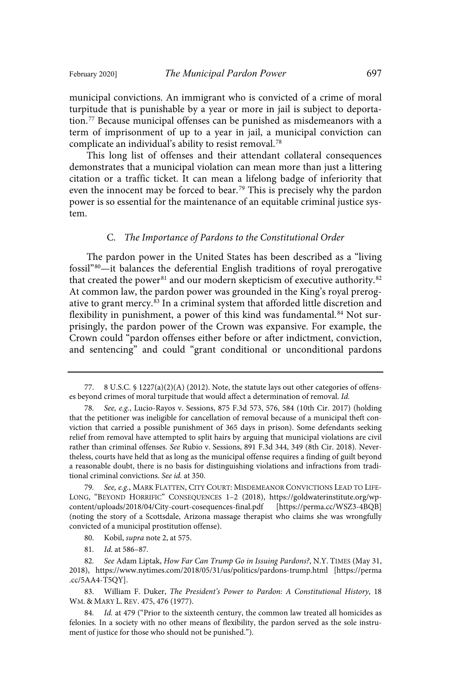municipal convictions. An immigrant who is convicted of a crime of moral turpitude that is punishable by a year or more in jail is subject to deportation. <sup>77</sup> Because municipal offenses can be punished as misdemeanors with a term of imprisonment of up to a year in jail, a municipal conviction can complicate an individual's ability to resist removal. 78

This long list of offenses and their attendant collateral consequences demonstrates that a municipal violation can mean more than just a littering citation or a traffic ticket. It can mean a lifelong badge of inferiority that even the innocent may be forced to bear.<sup>79</sup> This is precisely why the pardon power is so essential for the maintenance of an equitable criminal justice system.

## C. The Importance of Pardons to the Constitutional Order

The pardon power in the United States has been described as a "living fossil"<sup>80</sup>—it balances the deferential English traditions of royal prerogative that created the power<sup>81</sup> and our modern skepticism of executive authority.<sup>82</sup> At common law, the pardon power was grounded in the King's royal prerogative to grant mercy.<sup>83</sup> In a criminal system that afforded little discretion and flexibility in punishment, a power of this kind was fundamental.<sup>84</sup> Not surprisingly, the pardon power of the Crown was expansive. For example, the Crown could "pardon offenses either before or after indictment, conviction, and sentencing" and could "grant conditional or unconditional pardons

83. William F. Duker, The President's Power to Pardon: A Constitutional History, 18 WM. & MARY L. REV. 475, 476 (1977).

84. Id. at 479 ("Prior to the sixteenth century, the common law treated all homicides as felonies. In a society with no other means of flexibility, the pardon served as the sole instrument of justice for those who should not be punished.").

<sup>77.</sup> 8 U.S.C. § 1227(a)(2)(A) (2012). Note, the statute lays out other categories of offenses beyond crimes of moral turpitude that would affect a determination of removal. Id.

<sup>78.</sup> See, e.g., Lucio-Rayos v. Sessions, 875 F.3d 573, 576, 584 (10th Cir. 2017) (holding that the petitioner was ineligible for cancellation of removal because of a municipal theft conviction that carried a possible punishment of 365 days in prison). Some defendants seeking relief from removal have attempted to split hairs by arguing that municipal violations are civil rather than criminal offenses. See Rubio v. Sessions, 891 F.3d 344, 349 (8th Cir. 2018). Nevertheless, courts have held that as long as the municipal offense requires a finding of guilt beyond a reasonable doubt, there is no basis for distinguishing violations and infractions from traditional criminal convictions. See id. at 350.

<sup>79.</sup> See, e.g., MARK FLATTEN, CITY COURT: MISDEMEANOR CONVICTIONS LEAD TO LIFE-LONG, "BEYOND HORRIFIC" CONSEQUENCES 1–2 (2018), https://goldwaterinstitute.org/wpcontent/uploads/2018/04/City-court-cosequences-final.pdf [https://perma.cc/WSZ3-4BQB] (noting the story of a Scottsdale, Arizona massage therapist who claims she was wrongfully convicted of a municipal prostitution offense).

<sup>80.</sup> Kobil, supra note 2, at 575.

<sup>81.</sup> Id. at 586-87.

<sup>82.</sup> See Adam Liptak, How Far Can Trump Go in Issuing Pardons?, N.Y. TIMES (May 31, 2018), https://www.nytimes.com/2018/05/31/us/politics/pardons-trump.html [https://perma .cc/5AA4-T5QY].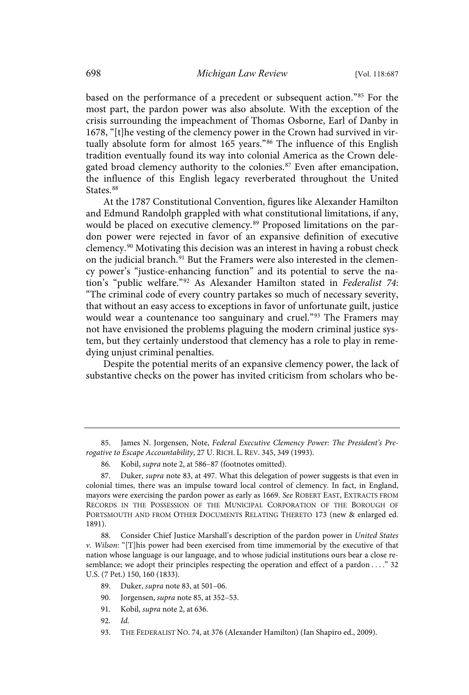based on the performance of a precedent or subsequent action."<sup>85</sup> For the most part, the pardon power was also absolute. With the exception of the crisis surrounding the impeachment of Thomas Osborne, Earl of Danby in 1678, "[t]he vesting of the clemency power in the Crown had survived in virtually absolute form for almost 165 years."<sup>86</sup> The influence of this English tradition eventually found its way into colonial America as the Crown delegated broad clemency authority to the colonies.<sup>87</sup> Even after emancipation, the influence of this English legacy reverberated throughout the United States.<sup>88</sup>

At the 1787 Constitutional Convention, figures like Alexander Hamilton and Edmund Randolph grappled with what constitutional limitations, if any, would be placed on executive clemency. <sup>89</sup> Proposed limitations on the pardon power were rejected in favor of an expansive definition of executive clemency. <sup>90</sup> Motivating this decision was an interest in having a robust check on the judicial branch.<sup>91</sup> But the Framers were also interested in the clemency power's "justice-enhancing function" and its potential to serve the nation's "public welfare."<sup>92</sup> As Alexander Hamilton stated in Federalist 74: "The criminal code of every country partakes so much of necessary severity, that without an easy access to exceptions in favor of unfortunate guilt, justice would wear a countenance too sanguinary and cruel."<sup>93</sup> The Framers may not have envisioned the problems plaguing the modern criminal justice system, but they certainly understood that clemency has a role to play in remedying unjust criminal penalties.

Despite the potential merits of an expansive clemency power, the lack of substantive checks on the power has invited criticism from scholars who be-

<sup>85.</sup> James N. Jorgensen, Note, Federal Executive Clemency Power: The President's Prerogative to Escape Accountability, 27 U. RICH. L. REV. 345, 349 (1993).

<sup>86.</sup> Kobil, supra note 2, at 586–87 (footnotes omitted).

<sup>87.</sup> Duker, supra note 83, at 497. What this delegation of power suggests is that even in colonial times, there was an impulse toward local control of clemency. In fact, in England, mayors were exercising the pardon power as early as 1669. See ROBERT EAST, EXTRACTS FROM RECORDS IN THE POSSESSION OF THE MUNICIPAL CORPORATION OF THE BOROUGH OF PORTSMOUTH AND FROM OTHER DOCUMENTS RELATING THERETO 173 (new & enlarged ed. 1891).

<sup>88.</sup> Consider Chief Justice Marshall's description of the pardon power in United States v. Wilson: "[T]his power had been exercised from time immemorial by the executive of that nation whose language is our language, and to whose judicial institutions ours bear a close resemblance; we adopt their principles respecting the operation and effect of a pardon . . . ." 32 U.S. (7 Pet.) 150, 160 (1833).

<sup>89.</sup> Duker, supra note 83, at 501–06.

<sup>90.</sup> Jorgensen, *supra* note 85, at 352-53.

<sup>91.</sup> Kobil, supra note 2, at 636.

<sup>92.</sup> Id.

<sup>93.</sup> THE FEDERALIST NO. 74, at 376 (Alexander Hamilton) (Ian Shapiro ed., 2009).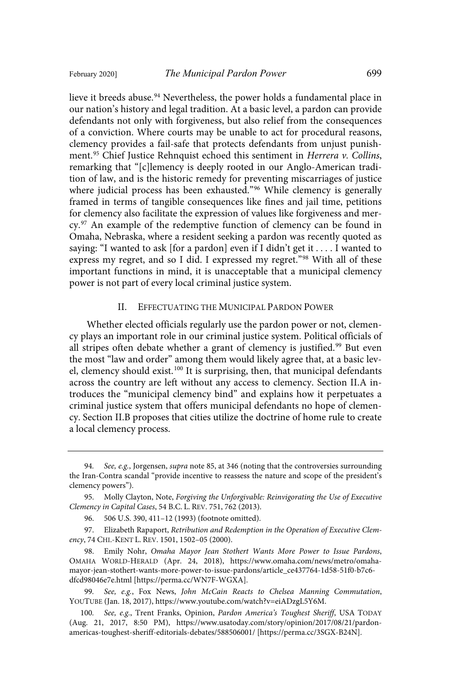lieve it breeds abuse.<sup>94</sup> Nevertheless, the power holds a fundamental place in our nation's history and legal tradition. At a basic level, a pardon can provide defendants not only with forgiveness, but also relief from the consequences of a conviction. Where courts may be unable to act for procedural reasons, clemency provides a fail-safe that protects defendants from unjust punishment.<sup>95</sup> Chief Justice Rehnquist echoed this sentiment in *Herrera v. Collins*, remarking that "[c]lemency is deeply rooted in our Anglo-American tradition of law, and is the historic remedy for preventing miscarriages of justice where judicial process has been exhausted."<sup>96</sup> While clemency is generally framed in terms of tangible consequences like fines and jail time, petitions for clemency also facilitate the expression of values like forgiveness and mercy.<sup>97</sup> An example of the redemptive function of clemency can be found in Omaha, Nebraska, where a resident seeking a pardon was recently quoted as saying: "I wanted to ask [for a pardon] even if I didn't get it . . . . I wanted to express my regret, and so I did. I expressed my regret."<sup>98</sup> With all of these important functions in mind, it is unacceptable that a municipal clemency power is not part of every local criminal justice system.

## II. EFFECTUATING THE MUNICIPAL PARDON POWER

Whether elected officials regularly use the pardon power or not, clemency plays an important role in our criminal justice system. Political officials of all stripes often debate whether a grant of clemency is justified.<sup>99</sup> But even the most "law and order" among them would likely agree that, at a basic level, clemency should exist.<sup>100</sup> It is surprising, then, that municipal defendants across the country are left without any access to clemency. Section II.A introduces the "municipal clemency bind" and explains how it perpetuates a criminal justice system that offers municipal defendants no hope of clemency. Section II.B proposes that cities utilize the doctrine of home rule to create a local clemency process.

<sup>94.</sup> See, e.g., Jorgensen, supra note 85, at 346 (noting that the controversies surrounding the Iran-Contra scandal "provide incentive to reassess the nature and scope of the president's clemency powers").

<sup>95.</sup> Molly Clayton, Note, Forgiving the Unforgivable: Reinvigorating the Use of Executive Clemency in Capital Cases, 54 B.C. L. REV. 751, 762 (2013).

<sup>96.</sup> 506 U.S. 390, 411–12 (1993) (footnote omitted).

<sup>97.</sup> Elizabeth Rapaport, Retribution and Redemption in the Operation of Executive Clemency, 74 CHI.-KENT L. REV. 1501, 1502–05 (2000).

<sup>98.</sup> Emily Nohr, Omaha Mayor Jean Stothert Wants More Power to Issue Pardons, OMAHA WORLD-HERALD (Apr. 24, 2018), https://www.omaha.com/news/metro/omahamayor-jean-stothert-wants-more-power-to-issue-pardons/article\_ce437764-1d58-51f0-b7c6 dfcd98046e7e.html [https://perma.cc/WN7F-WGXA].

<sup>99.</sup> See, e.g., Fox News, John McCain Reacts to Chelsea Manning Commutation, YOUTUBE (Jan. 18, 2017), https://www.youtube.com/watch?v=eiADzgL5Y6M.

<sup>100.</sup> See, e.g., Trent Franks, Opinion, Pardon America's Toughest Sheriff, USA TODAY (Aug. 21, 2017, 8:50 PM), https://www.usatoday.com/story/opinion/2017/08/21/pardonamericas-toughest-sheriff-editorials-debates/588506001/ [https://perma.cc/3SGX-B24N].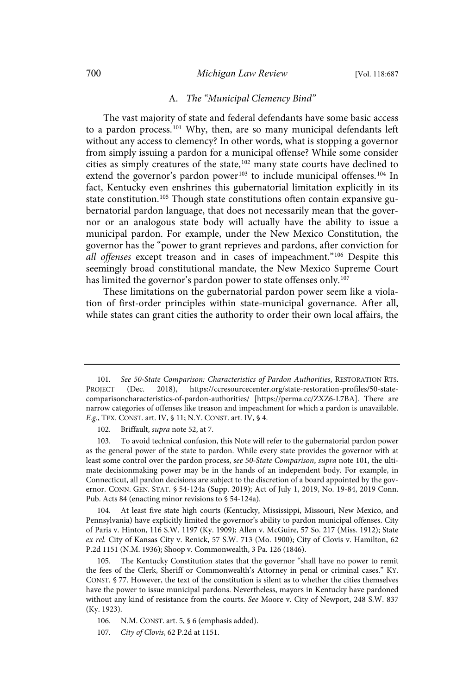#### 700 *Michigan Law Review* [Vol. 118:687

## A. The "Municipal Clemency Bind"

The vast majority of state and federal defendants have some basic access to a pardon process. <sup>101</sup> Why, then, are so many municipal defendants left without any access to clemency? In other words, what is stopping a governor from simply issuing a pardon for a municipal offense? While some consider cities as simply creatures of the state,<sup>102</sup> many state courts have declined to extend the governor's pardon power<sup>103</sup> to include municipal offenses.<sup>104</sup> In fact, Kentucky even enshrines this gubernatorial limitation explicitly in its state constitution. <sup>105</sup> Though state constitutions often contain expansive gubernatorial pardon language, that does not necessarily mean that the governor or an analogous state body will actually have the ability to issue a municipal pardon. For example, under the New Mexico Constitution, the governor has the "power to grant reprieves and pardons, after conviction for all offenses except treason and in cases of impeachment."<sup>106</sup> Despite this seemingly broad constitutional mandate, the New Mexico Supreme Court has limited the governor's pardon power to state offenses only. 107

These limitations on the gubernatorial pardon power seem like a violation of first-order principles within state-municipal governance. After all, while states can grant cities the authority to order their own local affairs, the

104. At least five state high courts (Kentucky, Mississippi, Missouri, New Mexico, and Pennsylvania) have explicitly limited the governor's ability to pardon municipal offenses. City of Paris v. Hinton, 116 S.W. 1197 (Ky. 1909); Allen v. McGuire, 57 So. 217 (Miss. 1912); State ex rel. City of Kansas City v. Renick, 57 S.W. 713 (Mo. 1900); City of Clovis v. Hamilton, 62 P.2d 1151 (N.M. 1936); Shoop v. Commonwealth, 3 Pa. 126 (1846).

105. The Kentucky Constitution states that the governor "shall have no power to remit the fees of the Clerk, Sheriff or Commonwealth's Attorney in penal or criminal cases." KY. CONST. § 77. However, the text of the constitution is silent as to whether the cities themselves have the power to issue municipal pardons. Nevertheless, mayors in Kentucky have pardoned without any kind of resistance from the courts. See Moore v. City of Newport, 248 S.W. 837 (Ky. 1923).

<sup>101.</sup> See 50-State Comparison: Characteristics of Pardon Authorities, RESTORATION RTS. PROJECT (Dec. 2018), https://ccresourcecenter.org/state-restoration-profiles/50-statecomparisoncharacteristics-of-pardon-authorities/ [https://perma.cc/ZXZ6-L7BA]. There are narrow categories of offenses like treason and impeachment for which a pardon is unavailable. E.g., TEX. CONST. art. IV, § 11; N.Y. CONST. art. IV, § 4.

<sup>102.</sup> Briffault, supra note 52, at 7.

<sup>103.</sup> To avoid technical confusion, this Note will refer to the gubernatorial pardon power as the general power of the state to pardon. While every state provides the governor with at least some control over the pardon process, see 50-State Comparison, supra note 101, the ultimate decisionmaking power may be in the hands of an independent body. For example, in Connecticut, all pardon decisions are subject to the discretion of a board appointed by the governor. CONN. GEN. STAT. § 54-124a (Supp. 2019); Act of July 1, 2019, No. 19-84, 2019 Conn. Pub. Acts 84 (enacting minor revisions to § 54-124a).

<sup>106.</sup> N.M. CONST. art. 5, § 6 (emphasis added).

<sup>107.</sup> City of Clovis, 62 P.2d at 1151.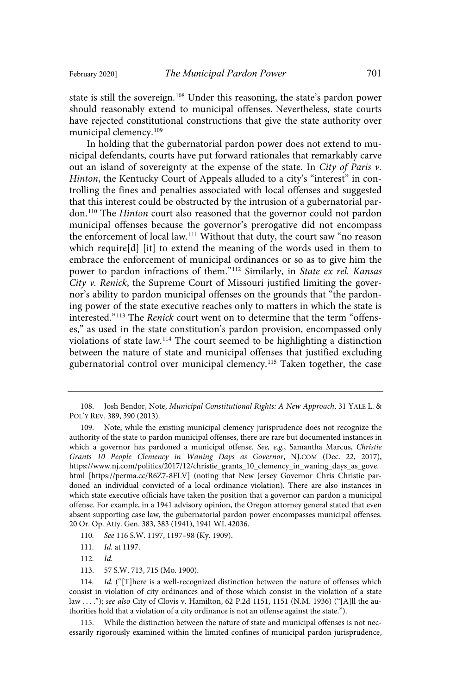state is still the sovereign.<sup>108</sup> Under this reasoning, the state's pardon power should reasonably extend to municipal offenses. Nevertheless, state courts have rejected constitutional constructions that give the state authority over municipal clemency.<sup>109</sup>

In holding that the gubernatorial pardon power does not extend to municipal defendants, courts have put forward rationales that remarkably carve out an island of sovereignty at the expense of the state. In City of Paris  $v$ . Hinton, the Kentucky Court of Appeals alluded to a city's "interest" in controlling the fines and penalties associated with local offenses and suggested that this interest could be obstructed by the intrusion of a gubernatorial pardon.<sup>110</sup> The Hinton court also reasoned that the governor could not pardon municipal offenses because the governor's prerogative did not encompass the enforcement of local law.<sup>111</sup> Without that duty, the court saw "no reason which require[d] [it] to extend the meaning of the words used in them to embrace the enforcement of municipal ordinances or so as to give him the power to pardon infractions of them."<sup>112</sup> Similarly, in State ex rel. Kansas City v. Renick, the Supreme Court of Missouri justified limiting the governor's ability to pardon municipal offenses on the grounds that "the pardoning power of the state executive reaches only to matters in which the state is interested."<sup>113</sup> The Renick court went on to determine that the term "offenses," as used in the state constitution's pardon provision, encompassed only violations of state law.<sup>114</sup> The court seemed to be highlighting a distinction between the nature of state and municipal offenses that justified excluding gubernatorial control over municipal clemency. <sup>115</sup> Taken together, the case

- 110. See 116 S.W. 1197, 1197-98 (Ky. 1909).
- 111. *Id.* at 1197.
- 112. Id.
- 113. 57 S.W. 713, 715 (Mo. 1900).

<sup>108.</sup> Josh Bendor, Note, Municipal Constitutional Rights: A New Approach, 31 YALE L. & POL'Y REV. 389, 390 (2013).

<sup>109.</sup> Note, while the existing municipal clemency jurisprudence does not recognize the authority of the state to pardon municipal offenses, there are rare but documented instances in which a governor has pardoned a municipal offense. See, e.g., Samantha Marcus, Christie Grants 10 People Clemency in Waning Days as Governor, NJ.COM (Dec. 22, 2017), https://www.nj.com/politics/2017/12/christie\_grants\_10\_clemency\_in\_waning\_days\_as\_gove. html [https://perma.cc/R6Z7-8FLV] (noting that New Jersey Governor Chris Christie pardoned an individual convicted of a local ordinance violation). There are also instances in which state executive officials have taken the position that a governor can pardon a municipal offense. For example, in a 1941 advisory opinion, the Oregon attorney general stated that even absent supporting case law, the gubernatorial pardon power encompasses municipal offenses. 20 Or. Op. Atty. Gen. 383, 383 (1941), 1941 WL 42036.

<sup>114.</sup> Id. ("[T]here is a well-recognized distinction between the nature of offenses which consist in violation of city ordinances and of those which consist in the violation of a state law . . . ."); see also City of Clovis v. Hamilton, 62 P.2d 1151, 1151 (N.M. 1936) ("[A]ll the authorities hold that a violation of a city ordinance is not an offense against the state.").

<sup>115.</sup> While the distinction between the nature of state and municipal offenses is not necessarily rigorously examined within the limited confines of municipal pardon jurisprudence,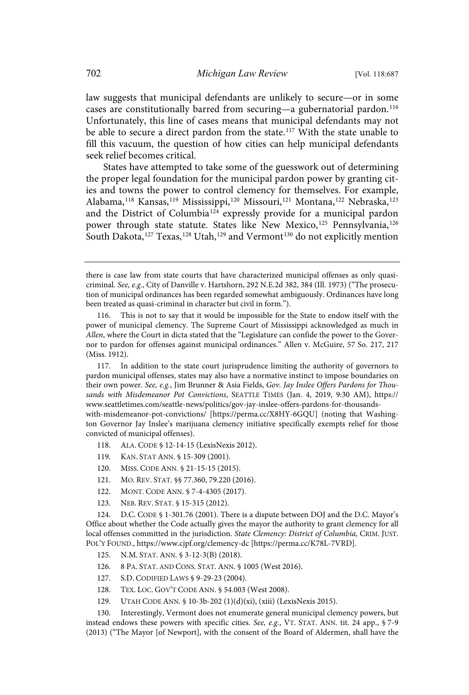law suggests that municipal defendants are unlikely to secure—or in some cases are constitutionally barred from securing—a gubernatorial pardon.<sup>116</sup> Unfortunately, this line of cases means that municipal defendants may not be able to secure a direct pardon from the state.<sup>117</sup> With the state unable to fill this vacuum, the question of how cities can help municipal defendants seek relief becomes critical.

States have attempted to take some of the guesswork out of determining the proper legal foundation for the municipal pardon power by granting cities and towns the power to control clemency for themselves. For example, Alabama, <sup>118</sup> Kansas, <sup>119</sup> Mississippi, <sup>120</sup> Missouri, <sup>121</sup> Montana, <sup>122</sup> Nebraska, <sup>123</sup> and the District of Columbia<sup>124</sup> expressly provide for a municipal pardon power through state statute. States like New Mexico,<sup>125</sup> Pennsylvania,<sup>126</sup> South Dakota,  $^{127}$  Texas,  $^{128}$  Utah,  $^{129}$  and Vermont $^{130}$  do not explicitly mention

117. In addition to the state court jurisprudence limiting the authority of governors to pardon municipal offenses, states may also have a normative instinct to impose boundaries on their own power. See, e.g., Jim Brunner & Asia Fields, Gov. Jay Inslee Offers Pardons for Thousands with Misdemeanor Pot Convictions, SEATTLE TIMES (Jan. 4, 2019, 9:30 AM), https:// www.seattletimes.com/seattle-news/politics/gov-jay-inslee-offers-pardons-for-thousandswith-misdemeanor-pot-convictions/ [https://perma.cc/X8HY-6GQU] (noting that Washington Governor Jay Inslee's marijuana clemency initiative specifically exempts relief for those convicted of municipal offenses).

- 118. ALA. CODE § 12-14-15 (LexisNexis 2012).
- 119. KAN. STAT ANN. § 15-309 (2001).
- 120. MISS. CODE ANN. § 21-15-15 (2015).
- 121. MO. REV. STAT. §§ 77.360, 79.220 (2016).
- 122. MONT. CODE ANN. § 7-4-4305 (2017).
- 123. NEB. REV. STAT. § 15-315 (2012).

124. D.C. CODE § 1-301.76 (2001). There is a dispute between DOJ and the D.C. Mayor's Office about whether the Code actually gives the mayor the authority to grant clemency for all local offenses committed in the jurisdiction. State Clemency: District of Columbia, CRIM. JUST. POL'Y FOUND., https://www.cjpf.org/clemency-dc [https://perma.cc/K78L-7VRD].

- 125. N.M. STAT. ANN. § 3-12-3(B) (2018).
- 126. 8 PA. STAT. AND CONS. STAT. ANN. § 1005 (West 2016).
- 127. S.D. CODIFIED LAWS § 9-29-23 (2004).
- 128. TEX. LOC. GOV'T CODE ANN. § 54.003 (West 2008).
- 129. UTAH CODE ANN. § 10-3b-202 (1)(d)(xi), (xiii) (LexisNexis 2015).

130. Interestingly, Vermont does not enumerate general municipal clemency powers, but instead endows these powers with specific cities. See, e.g., VT. STAT. ANN. tit. 24 app.,  $\S 7-9$ (2013) ("The Mayor [of Newport], with the consent of the Board of Aldermen, shall have the

there is case law from state courts that have characterized municipal offenses as only quasicriminal. See, e.g., City of Danville v. Hartshorn, 292 N.E.2d 382, 384 (Ill. 1973) ("The prosecution of municipal ordinances has been regarded somewhat ambiguously. Ordinances have long been treated as quasi-criminal in character but civil in form.").

<sup>116.</sup> This is not to say that it would be impossible for the State to endow itself with the power of municipal clemency. The Supreme Court of Mississippi acknowledged as much in Allen, where the Court in dicta stated that the "Legislature can confide the power to the Governor to pardon for offenses against municipal ordinances." Allen v. McGuire, 57 So. 217, 217 (Miss. 1912).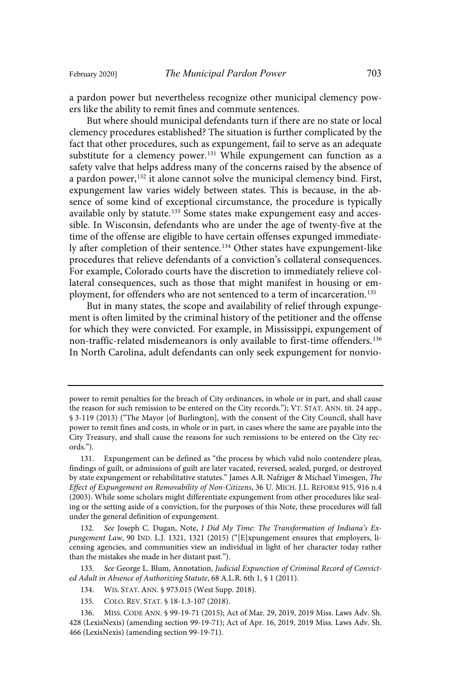a pardon power but nevertheless recognize other municipal clemency powers like the ability to remit fines and commute sentences.

But where should municipal defendants turn if there are no state or local clemency procedures established? The situation is further complicated by the fact that other procedures, such as expungement, fail to serve as an adequate substitute for a clemency power.<sup>131</sup> While expungement can function as a safety valve that helps address many of the concerns raised by the absence of a pardon power,<sup>132</sup> it alone cannot solve the municipal clemency bind. First, expungement law varies widely between states. This is because, in the absence of some kind of exceptional circumstance, the procedure is typically available only by statute.<sup>133</sup> Some states make expungement easy and accessible. In Wisconsin, defendants who are under the age of twenty-five at the time of the offense are eligible to have certain offenses expunged immediately after completion of their sentence. <sup>134</sup> Other states have expungement-like procedures that relieve defendants of a conviction's collateral consequences. For example, Colorado courts have the discretion to immediately relieve collateral consequences, such as those that might manifest in housing or employment, for offenders who are not sentenced to a term of incarceration.<sup>135</sup>

But in many states, the scope and availability of relief through expungement is often limited by the criminal history of the petitioner and the offense for which they were convicted. For example, in Mississippi, expungement of non-traffic-related misdemeanors is only available to first-time offenders.<sup>136</sup> In North Carolina, adult defendants can only seek expungement for nonvio-

power to remit penalties for the breach of City ordinances, in whole or in part, and shall cause the reason for such remission to be entered on the City records."); VT. STAT. ANN. tit. 24 app., § 3-119 (2013) ("The Mayor [of Burlington], with the consent of the City Council, shall have power to remit fines and costs, in whole or in part, in cases where the same are payable into the City Treasury, and shall cause the reasons for such remissions to be entered on the City records.").

<sup>131.</sup> Expungement can be defined as "the process by which valid nolo contendere pleas, findings of guilt, or admissions of guilt are later vacated, reversed, sealed, purged, or destroyed by state expungement or rehabilitative statutes." James A.R. Nafziger & Michael Yimesgen, The Effect of Expungement on Removability of Non-Citizens, 36 U. MICH. J.L. REFORM 915, 916 n.4 (2003). While some scholars might differentiate expungement from other procedures like sealing or the setting aside of a conviction, for the purposes of this Note, these procedures will fall under the general definition of expungement.

<sup>132.</sup> See Joseph C. Dugan, Note, I Did My Time: The Transformation of Indiana's Expungement Law, 90 IND. L.J. 1321, 1321 (2015) ("[E]xpungement ensures that employers, licensing agencies, and communities view an individual in light of her character today rather than the mistakes she made in her distant past.").

<sup>133.</sup> See George L. Blum, Annotation, Judicial Expunction of Criminal Record of Convicted Adult in Absence of Authorizing Statute, 68 A.L.R. 6th 1, § 1 (2011).

<sup>134.</sup> WIS. STAT. ANN. § 973.015 (West Supp. 2018).

<sup>135.</sup> COLO. REV. STAT. § 18-1.3-107 (2018).

<sup>136.</sup> MISS. CODE ANN. § 99-19-71 (2015); Act of Mar. 29, 2019, 2019 Miss. Laws Adv. Sh. 428 (LexisNexis) (amending section 99-19-71); Act of Apr. 16, 2019, 2019 Miss. Laws Adv. Sh. 466 (LexisNexis) (amending section 99-19-71).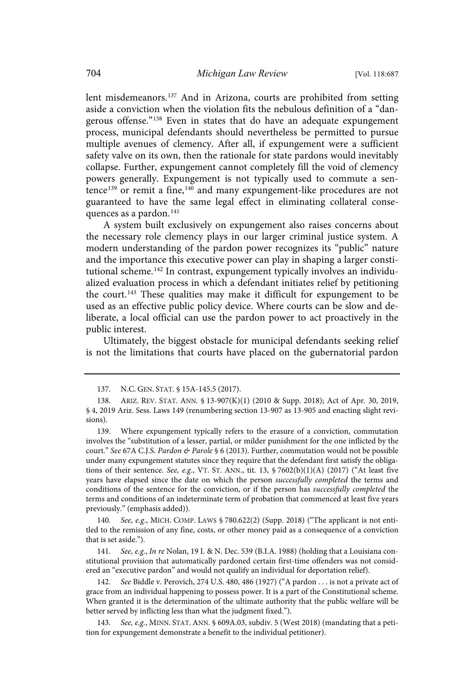lent misdemeanors.<sup>137</sup> And in Arizona, courts are prohibited from setting aside a conviction when the violation fits the nebulous definition of a "dangerous offense." <sup>138</sup> Even in states that do have an adequate expungement process, municipal defendants should nevertheless be permitted to pursue multiple avenues of clemency. After all, if expungement were a sufficient safety valve on its own, then the rationale for state pardons would inevitably collapse. Further, expungement cannot completely fill the void of clemency powers generally. Expungement is not typically used to commute a sentence<sup>139</sup> or remit a fine,<sup>140</sup> and many expungement-like procedures are not guaranteed to have the same legal effect in eliminating collateral consequences as a pardon. 141

A system built exclusively on expungement also raises concerns about the necessary role clemency plays in our larger criminal justice system. A modern understanding of the pardon power recognizes its "public" nature and the importance this executive power can play in shaping a larger constitutional scheme.<sup>142</sup> In contrast, expungement typically involves an individualized evaluation process in which a defendant initiates relief by petitioning the court.<sup>143</sup> These qualities may make it difficult for expungement to be used as an effective public policy device. Where courts can be slow and deliberate, a local official can use the pardon power to act proactively in the public interest.

Ultimately, the biggest obstacle for municipal defendants seeking relief is not the limitations that courts have placed on the gubernatorial pardon

139. Where expungement typically refers to the erasure of a conviction, commutation involves the "substitution of a lesser, partial, or milder punishment for the one inflicted by the court." See 67A C.J.S. Pardon & Parole § 6 (2013). Further, commutation would not be possible under many expungement statutes since they require that the defendant first satisfy the obligations of their sentence. See, e.g., VT. ST. ANN., tit. 13,  $\frac{57602(b)(1)(A)}{2017}$  ("At least five years have elapsed since the date on which the person successfully completed the terms and conditions of the sentence for the conviction, or if the person has successfully completed the terms and conditions of an indeterminate term of probation that commenced at least five years previously." (emphasis added)).

140. See, e.g., MICH. COMP. LAWS § 780.622(2) (Supp. 2018) ("The applicant is not entitled to the remission of any fine, costs, or other money paid as a consequence of a conviction that is set aside.").

141. See, e.g., In re Nolan, 19 I. & N. Dec. 539 (B.I.A. 1988) (holding that a Louisiana constitutional provision that automatically pardoned certain first-time offenders was not considered an "executive pardon" and would not qualify an individual for deportation relief).

142. See Biddle v. Perovich, 274 U.S. 480, 486 (1927) ("A pardon . . . is not a private act of grace from an individual happening to possess power. It is a part of the Constitutional scheme. When granted it is the determination of the ultimate authority that the public welfare will be better served by inflicting less than what the judgment fixed.").

143. See, e.g., MINN. STAT. ANN. § 609A.03, subdiv. 5 (West 2018) (mandating that a petition for expungement demonstrate a benefit to the individual petitioner).

<sup>137.</sup> N.C. GEN. STAT. § 15A-145.5 (2017).

<sup>138.</sup> ARIZ. REV. STAT. ANN. § 13-907(K)(1) (2010 & Supp. 2018); Act of Apr. 30, 2019, § 4, 2019 Ariz. Sess. Laws 149 (renumbering section 13-907 as 13-905 and enacting slight revisions).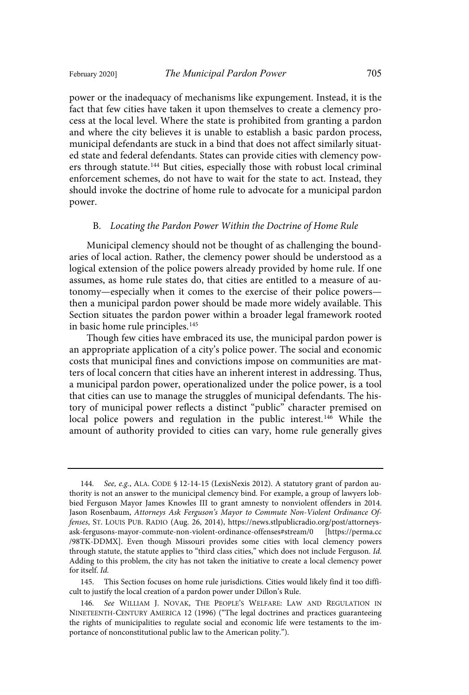power or the inadequacy of mechanisms like expungement. Instead, it is the fact that few cities have taken it upon themselves to create a clemency process at the local level. Where the state is prohibited from granting a pardon and where the city believes it is unable to establish a basic pardon process, municipal defendants are stuck in a bind that does not affect similarly situated state and federal defendants. States can provide cities with clemency powers through statute.<sup>144</sup> But cities, especially those with robust local criminal enforcement schemes, do not have to wait for the state to act. Instead, they should invoke the doctrine of home rule to advocate for a municipal pardon power.

### B. Locating the Pardon Power Within the Doctrine of Home Rule

Municipal clemency should not be thought of as challenging the boundaries of local action. Rather, the clemency power should be understood as a logical extension of the police powers already provided by home rule. If one assumes, as home rule states do, that cities are entitled to a measure of autonomy—especially when it comes to the exercise of their police powers then a municipal pardon power should be made more widely available. This Section situates the pardon power within a broader legal framework rooted in basic home rule principles.<sup>145</sup>

Though few cities have embraced its use, the municipal pardon power is an appropriate application of a city's police power. The social and economic costs that municipal fines and convictions impose on communities are matters of local concern that cities have an inherent interest in addressing. Thus, a municipal pardon power, operationalized under the police power, is a tool that cities can use to manage the struggles of municipal defendants. The history of municipal power reflects a distinct "public" character premised on local police powers and regulation in the public interest.<sup>146</sup> While the amount of authority provided to cities can vary, home rule generally gives

<sup>144.</sup> See, e.g., ALA. CODE § 12-14-15 (LexisNexis 2012). A statutory grant of pardon authority is not an answer to the municipal clemency bind. For example, a group of lawyers lobbied Ferguson Mayor James Knowles III to grant amnesty to nonviolent offenders in 2014. Jason Rosenbaum, Attorneys Ask Ferguson's Mayor to Commute Non-Violent Ordinance Offenses, ST. LOUIS PUB. RADIO (Aug. 26, 2014), https://news.stlpublicradio.org/post/attorneysask-fergusons-mayor-commute-non-violent-ordinance-offenses#stream/0 [https://perma.cc /98TK-DDMX]. Even though Missouri provides some cities with local clemency powers through statute, the statute applies to "third class cities," which does not include Ferguson. Id. Adding to this problem, the city has not taken the initiative to create a local clemency power for itself. Id.

<sup>145.</sup> This Section focuses on home rule jurisdictions. Cities would likely find it too difficult to justify the local creation of a pardon power under Dillon's Rule.

<sup>146.</sup> See WILLIAM J. NOVAK, THE PEOPLE'S WELFARE: LAW AND REGULATION IN NINETEENTH-CENTURY AMERICA 12 (1996) ("The legal doctrines and practices guaranteeing the rights of municipalities to regulate social and economic life were testaments to the importance of nonconstitutional public law to the American polity.").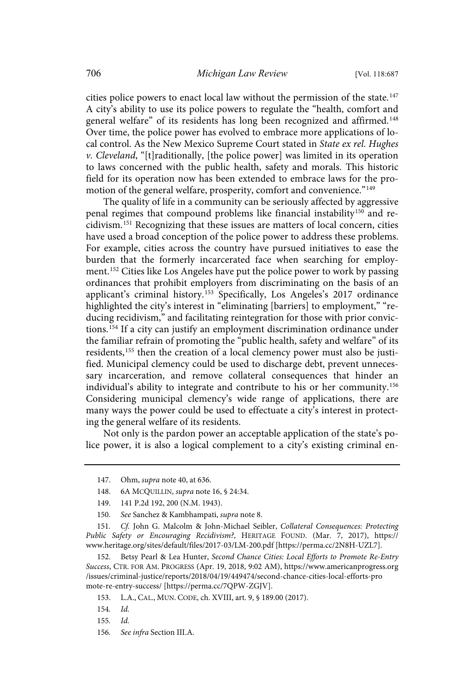cities police powers to enact local law without the permission of the state.<sup>147</sup> A city's ability to use its police powers to regulate the "health, comfort and general welfare" of its residents has long been recognized and affirmed.<sup>148</sup> Over time, the police power has evolved to embrace more applications of local control. As the New Mexico Supreme Court stated in State ex rel. Hughes  $v$ . Cleveland, "[t]raditionally, [the police power] was limited in its operation to laws concerned with the public health, safety and morals. This historic field for its operation now has been extended to embrace laws for the promotion of the general welfare, prosperity, comfort and convenience."<sup>149</sup>

The quality of life in a community can be seriously affected by aggressive penal regimes that compound problems like financial instability<sup>150</sup> and recidivism. <sup>151</sup> Recognizing that these issues are matters of local concern, cities have used a broad conception of the police power to address these problems. For example, cities across the country have pursued initiatives to ease the burden that the formerly incarcerated face when searching for employment.<sup>152</sup> Cities like Los Angeles have put the police power to work by passing ordinances that prohibit employers from discriminating on the basis of an applicant's criminal history.<sup>153</sup> Specifically, Los Angeles's 2017 ordinance highlighted the city's interest in "eliminating [barriers] to employment," "reducing recidivism," and facilitating reintegration for those with prior convictions.<sup>154</sup> If a city can justify an employment discrimination ordinance under the familiar refrain of promoting the "public health, safety and welfare" of its residents,<sup>155</sup> then the creation of a local clemency power must also be justified. Municipal clemency could be used to discharge debt, prevent unnecessary incarceration, and remove collateral consequences that hinder an individual's ability to integrate and contribute to his or her community.<sup>156</sup> Considering municipal clemency's wide range of applications, there are many ways the power could be used to effectuate a city's interest in protecting the general welfare of its residents.

Not only is the pardon power an acceptable application of the state's police power, it is also a logical complement to a city's existing criminal en-

<sup>147.</sup> Ohm, supra note 40, at 636.

<sup>148.</sup> 6A MCQUILLIN, supra note 16, § 24:34.

<sup>149.</sup> 141 P.2d 192, 200 (N.M. 1943).

<sup>150.</sup> See Sanchez & Kambhampati, supra note 8.

<sup>151.</sup> Cf. John G. Malcolm & John-Michael Seibler, Collateral Consequences: Protecting Public Safety or Encouraging Recidivism?, HERITAGE FOUND. (Mar. 7, 2017), https:// www.heritage.org/sites/default/files/2017-03/LM-200.pdf [https://perma.cc/2N8H-UZL7].

<sup>152.</sup> Betsy Pearl & Lea Hunter, Second Chance Cities: Local Efforts to Promote Re-Entry Success, CTR. FOR AM. PROGRESS (Apr. 19, 2018, 9:02 AM), https://www.americanprogress.org /issues/criminal-justice/reports/2018/04/19/449474/second-chance-cities-local-efforts-pro mote-re-entry-success/ [https://perma.cc/7QPW-ZGJV].

<sup>153.</sup> L.A., CAL., MUN. CODE, ch. XVIII, art. 9, § 189.00 (2017).

<sup>154.</sup> Id.

<sup>155.</sup> Id.

<sup>156.</sup> See infra Section III.A.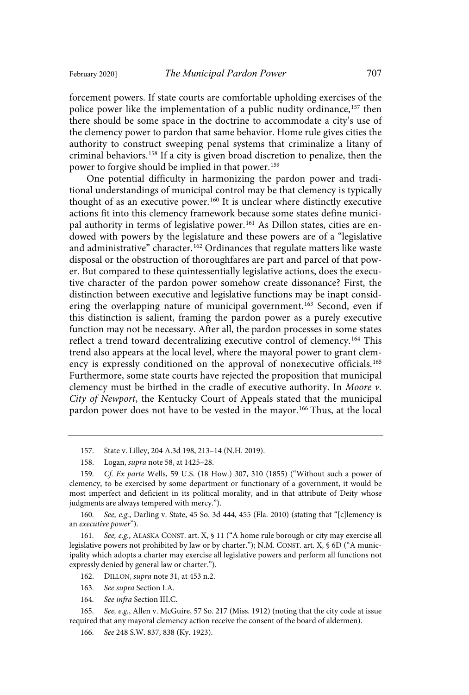forcement powers. If state courts are comfortable upholding exercises of the police power like the implementation of a public nudity ordinance, <sup>157</sup> then there should be some space in the doctrine to accommodate a city's use of the clemency power to pardon that same behavior. Home rule gives cities the authority to construct sweeping penal systems that criminalize a litany of criminal behaviors.<sup>158</sup> If a city is given broad discretion to penalize, then the power to forgive should be implied in that power.<sup>159</sup>

One potential difficulty in harmonizing the pardon power and traditional understandings of municipal control may be that clemency is typically thought of as an executive power.<sup>160</sup> It is unclear where distinctly executive actions fit into this clemency framework because some states define municipal authority in terms of legislative power.<sup>161</sup> As Dillon states, cities are endowed with powers by the legislature and these powers are of a "legislative and administrative" character. <sup>162</sup> Ordinances that regulate matters like waste disposal or the obstruction of thoroughfares are part and parcel of that power. But compared to these quintessentially legislative actions, does the executive character of the pardon power somehow create dissonance? First, the distinction between executive and legislative functions may be inapt considering the overlapping nature of municipal government.<sup>163</sup> Second, even if this distinction is salient, framing the pardon power as a purely executive function may not be necessary. After all, the pardon processes in some states reflect a trend toward decentralizing executive control of clemency. <sup>164</sup> This trend also appears at the local level, where the mayoral power to grant clemency is expressly conditioned on the approval of nonexecutive officials.<sup>165</sup> Furthermore, some state courts have rejected the proposition that municipal clemency must be birthed in the cradle of executive authority. In Moore  $v$ . City of Newport, the Kentucky Court of Appeals stated that the municipal pardon power does not have to be vested in the mayor.<sup>166</sup> Thus, at the local

157. State v. Lilley, 204 A.3d 198, 213–14 (N.H. 2019).

160. See, e.g., Darling v. State, 45 So. 3d 444, 455 (Fla. 2010) (stating that "[c]lemency is an executive power").

161. See, e.g., ALASKA CONST. art. X, § 11 ("A home rule borough or city may exercise all legislative powers not prohibited by law or by charter."); N.M. CONST. art. X, § 6D ("A municipality which adopts a charter may exercise all legislative powers and perform all functions not expressly denied by general law or charter.").

162. DILLON, supra note 31, at 453 n.2.

165. See, e.g., Allen v. McGuire, 57 So. 217 (Miss. 1912) (noting that the city code at issue required that any mayoral clemency action receive the consent of the board of aldermen).

166. See 248 S.W. 837, 838 (Ky. 1923).

<sup>158.</sup> Logan, supra note 58, at 1425–28.

<sup>159.</sup> Cf. Ex parte Wells, 59 U.S. (18 How.) 307, 310 (1855) ("Without such a power of clemency, to be exercised by some department or functionary of a government, it would be most imperfect and deficient in its political morality, and in that attribute of Deity whose judgments are always tempered with mercy.").

<sup>163.</sup> See supra Section I.A.

<sup>164.</sup> See infra Section III.C.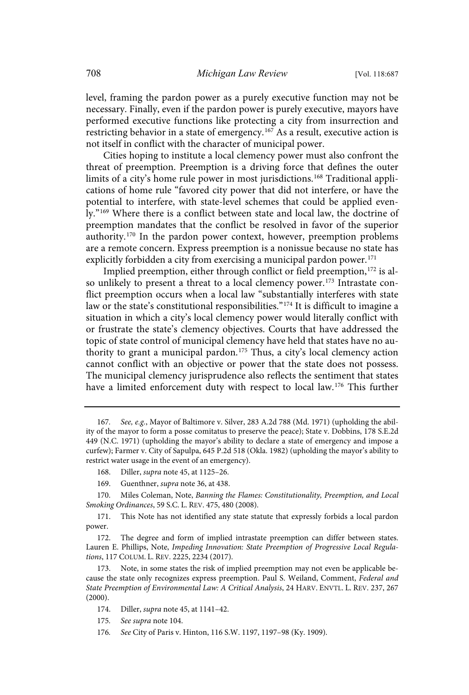level, framing the pardon power as a purely executive function may not be necessary. Finally, even if the pardon power is purely executive, mayors have performed executive functions like protecting a city from insurrection and restricting behavior in a state of emergency.<sup>167</sup> As a result, executive action is not itself in conflict with the character of municipal power.

Cities hoping to institute a local clemency power must also confront the threat of preemption. Preemption is a driving force that defines the outer limits of a city's home rule power in most jurisdictions. <sup>168</sup> Traditional applications of home rule "favored city power that did not interfere, or have the potential to interfere, with state-level schemes that could be applied evenly." <sup>169</sup> Where there is a conflict between state and local law, the doctrine of preemption mandates that the conflict be resolved in favor of the superior authority.<sup>170</sup> In the pardon power context, however, preemption problems are a remote concern. Express preemption is a nonissue because no state has explicitly forbidden a city from exercising a municipal pardon power. $171$ 

Implied preemption, either through conflict or field preemption,<sup>172</sup> is also unlikely to present a threat to a local clemency power.<sup>173</sup> Intrastate conflict preemption occurs when a local law "substantially interferes with state law or the state's constitutional responsibilities." <sup>174</sup> It is difficult to imagine a situation in which a city's local clemency power would literally conflict with or frustrate the state's clemency objectives. Courts that have addressed the topic of state control of municipal clemency have held that states have no authority to grant a municipal pardon.<sup>175</sup> Thus, a city's local clemency action cannot conflict with an objective or power that the state does not possess. The municipal clemency jurisprudence also reflects the sentiment that states have a limited enforcement duty with respect to local law.<sup>176</sup> This further

- 175. See supra note 104.
- 176 . See City of Paris v. Hinton, 116 S.W. 1197, 1197–98 (Ky. 1909).

<sup>167.</sup> See, e.g., Mayor of Baltimore v. Silver, 283 A.2d 788 (Md. 1971) (upholding the ability of the mayor to form a posse comitatus to preserve the peace); State v. Dobbins, 178 S.E.2d 449 (N.C. 1971) (upholding the mayor's ability to declare a state of emergency and impose a curfew); Farmer v. City of Sapulpa, 645 P.2d 518 (Okla. 1982) (upholding the mayor's ability to restrict water usage in the event of an emergency).

<sup>168.</sup> Diller, supra note 45, at 1125–26.

<sup>169.</sup> Guenthner, supra note 36, at 438.

<sup>170.</sup> Miles Coleman, Note, Banning the Flames: Constitutionality, Preemption, and Local Smoking Ordinances, 59 S.C. L. REV. 475, 480 (2008).

<sup>171.</sup> This Note has not identified any state statute that expressly forbids a local pardon power.

<sup>172.</sup> The degree and form of implied intrastate preemption can differ between states. Lauren E. Phillips, Note, Impeding Innovation: State Preemption of Progressive Local Regulations, 117 COLUM. L. REV. 2225, 2234 (2017).

<sup>173.</sup> Note, in some states the risk of implied preemption may not even be applicable because the state only recognizes express preemption. Paul S. Weiland, Comment, Federal and State Preemption of Environmental Law: A Critical Analysis, 24 HARV. ENVTL. L. REV. 237, 267 (2000).

<sup>174.</sup> Diller, supra note 45, at 1141–42.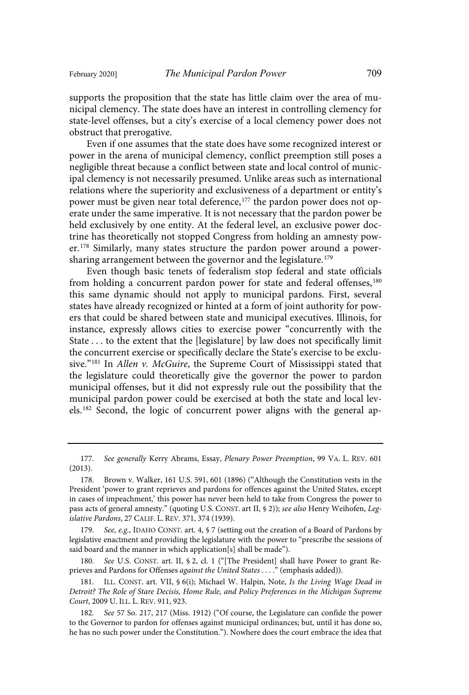supports the proposition that the state has little claim over the area of municipal clemency. The state does have an interest in controlling clemency for state-level offenses, but a city's exercise of a local clemency power does not obstruct that prerogative.

Even if one assumes that the state does have some recognized interest or power in the arena of municipal clemency, conflict preemption still poses a negligible threat because a conflict between state and local control of municipal clemency is not necessarily presumed. Unlike areas such as international relations where the superiority and exclusiveness of a department or entity's power must be given near total deference,<sup>177</sup> the pardon power does not operate under the same imperative. It is not necessary that the pardon power be held exclusively by one entity. At the federal level, an exclusive power doctrine has theoretically not stopped Congress from holding an amnesty power.<sup>178</sup> Similarly, many states structure the pardon power around a powersharing arrangement between the governor and the legislature.<sup>179</sup>

Even though basic tenets of federalism stop federal and state officials from holding a concurrent pardon power for state and federal offenses,<sup>180</sup> this same dynamic should not apply to municipal pardons. First, several states have already recognized or hinted at a form of joint authority for powers that could be shared between state and municipal executives. Illinois, for instance, expressly allows cities to exercise power "concurrently with the State . . . to the extent that the [legislature] by law does not specifically limit the concurrent exercise or specifically declare the State's exercise to be exclusive."<sup>181</sup> In Allen v. McGuire, the Supreme Court of Mississippi stated that the legislature could theoretically give the governor the power to pardon municipal offenses, but it did not expressly rule out the possibility that the municipal pardon power could be exercised at both the state and local levels.<sup>182</sup> Second, the logic of concurrent power aligns with the general ap-

179. See, e.g., IDAHO CONST. art. 4, § 7 (setting out the creation of a Board of Pardons by legislative enactment and providing the legislature with the power to "prescribe the sessions of said board and the manner in which application[s] shall be made").

See U.S. CONST. art. II, § 2, cl. 1 ("[The President] shall have Power to grant Reprieves and Pardons for Offenses against the United States . . . ." (emphasis added)).

181. ILL. CONST. art. VII, § 6(i); Michael W. Halpin, Note, Is the Living Wage Dead in Detroit? The Role of Stare Decisis, Home Rule, and Policy Preferences in the Michigan Supreme Court, 2009 U. ILL. L. REV. 911, 923.

182. See 57 So. 217, 217 (Miss. 1912) ("Of course, the Legislature can confide the power to the Governor to pardon for offenses against municipal ordinances; but, until it has done so, he has no such power under the Constitution."). Nowhere does the court embrace the idea that

<sup>177.</sup> See generally Kerry Abrams, Essay, Plenary Power Preemption, 99 VA. L. REV. 601 (2013).

<sup>178.</sup> Brown v. Walker, 161 U.S. 591, 601 (1896) ("Although the Constitution vests in the President 'power to grant reprieves and pardons for offences against the United States, except in cases of impeachment,' this power has never been held to take from Congress the power to pass acts of general amnesty." (quoting U.S. CONST. art II, § 2)); see also Henry Weihofen, Legislative Pardons, 27 CALIF. L. REV. 371, 374 (1939).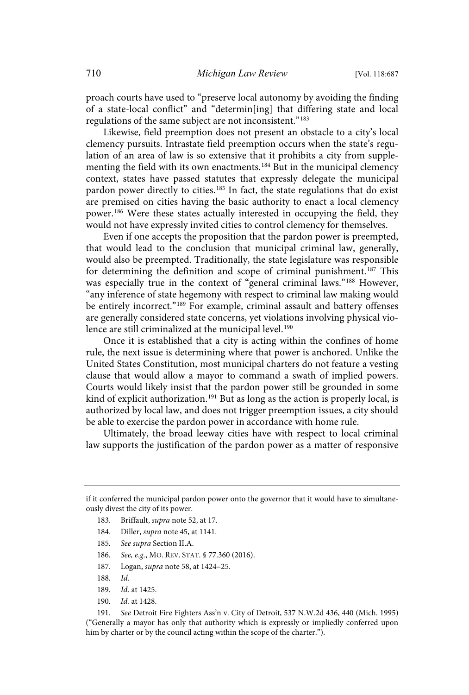proach courts have used to "preserve local autonomy by avoiding the finding of a state-local conflict" and "determin[ing] that differing state and local regulations of the same subject are not inconsistent."<sup>183</sup>

Likewise, field preemption does not present an obstacle to a city's local clemency pursuits. Intrastate field preemption occurs when the state's regulation of an area of law is so extensive that it prohibits a city from supplementing the field with its own enactments.<sup>184</sup> But in the municipal clemency context, states have passed statutes that expressly delegate the municipal pardon power directly to cities.<sup>185</sup> In fact, the state regulations that do exist are premised on cities having the basic authority to enact a local clemency power.<sup>186</sup> Were these states actually interested in occupying the field, they would not have expressly invited cities to control clemency for themselves.

Even if one accepts the proposition that the pardon power is preempted, that would lead to the conclusion that municipal criminal law, generally, would also be preempted. Traditionally, the state legislature was responsible for determining the definition and scope of criminal punishment.<sup>187</sup> This was especially true in the context of "general criminal laws."<sup>188</sup> However, "any inference of state hegemony with respect to criminal law making would be entirely incorrect."<sup>189</sup> For example, criminal assault and battery offenses are generally considered state concerns, yet violations involving physical violence are still criminalized at the municipal level.<sup>190</sup>

Once it is established that a city is acting within the confines of home rule, the next issue is determining where that power is anchored. Unlike the United States Constitution, most municipal charters do not feature a vesting clause that would allow a mayor to command a swath of implied powers. Courts would likely insist that the pardon power still be grounded in some kind of explicit authorization.<sup>191</sup> But as long as the action is properly local, is authorized by local law, and does not trigger preemption issues, a city should be able to exercise the pardon power in accordance with home rule.

Ultimately, the broad leeway cities have with respect to local criminal law supports the justification of the pardon power as a matter of responsive

- 183. Briffault, supra note 52, at 17.
- 184. Diller, supra note 45, at 1141.
- 185. See supra Section II.A.
- 186. See, e.g., MO. REV. STAT. § 77.360 (2016).
- 187. Logan, supra note 58, at 1424–25.
- 188. Id.
- 189. *Id.* at 1425.
- 190. Id. at 1428.

191. See Detroit Fire Fighters Ass'n v. City of Detroit, 537 N.W.2d 436, 440 (Mich. 1995) ("Generally a mayor has only that authority which is expressly or impliedly conferred upon him by charter or by the council acting within the scope of the charter.").

if it conferred the municipal pardon power onto the governor that it would have to simultaneously divest the city of its power.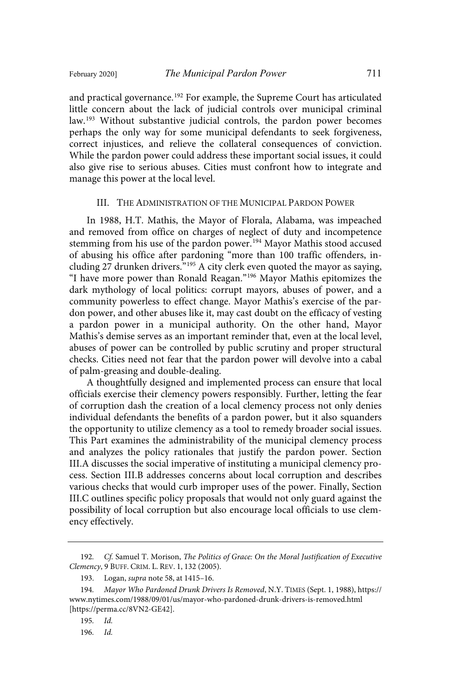and practical governance. <sup>192</sup> For example, the Supreme Court has articulated little concern about the lack of judicial controls over municipal criminal law.<sup>193</sup> Without substantive judicial controls, the pardon power becomes perhaps the only way for some municipal defendants to seek forgiveness, correct injustices, and relieve the collateral consequences of conviction. While the pardon power could address these important social issues, it could also give rise to serious abuses. Cities must confront how to integrate and manage this power at the local level.

# III. THE ADMINISTRATION OF THE MUNICIPAL PARDON POWER

In 1988, H.T. Mathis, the Mayor of Florala, Alabama, was impeached and removed from office on charges of neglect of duty and incompetence stemming from his use of the pardon power.<sup>194</sup> Mayor Mathis stood accused of abusing his office after pardoning "more than 100 traffic offenders, including 27 drunken drivers."<sup>195</sup> A city clerk even quoted the mayor as saying, "I have more power than Ronald Reagan." <sup>196</sup> Mayor Mathis epitomizes the dark mythology of local politics: corrupt mayors, abuses of power, and a community powerless to effect change. Mayor Mathis's exercise of the pardon power, and other abuses like it, may cast doubt on the efficacy of vesting a pardon power in a municipal authority. On the other hand, Mayor Mathis's demise serves as an important reminder that, even at the local level, abuses of power can be controlled by public scrutiny and proper structural checks. Cities need not fear that the pardon power will devolve into a cabal of palm-greasing and double-dealing.

A thoughtfully designed and implemented process can ensure that local officials exercise their clemency powers responsibly. Further, letting the fear of corruption dash the creation of a local clemency process not only denies individual defendants the benefits of a pardon power, but it also squanders the opportunity to utilize clemency as a tool to remedy broader social issues. This Part examines the administrability of the municipal clemency process and analyzes the policy rationales that justify the pardon power. Section III.A discusses the social imperative of instituting a municipal clemency process. Section III.B addresses concerns about local corruption and describes various checks that would curb improper uses of the power. Finally, Section III.C outlines specific policy proposals that would not only guard against the possibility of local corruption but also encourage local officials to use clemency effectively.

<sup>192.</sup> Cf. Samuel T. Morison, The Politics of Grace: On the Moral Justification of Executive Clemency, 9 BUFF. CRIM. L. REV. 1, 132 (2005).

<sup>193.</sup> Logan, supra note 58, at 1415–16.

<sup>194.</sup> Mayor Who Pardoned Drunk Drivers Is Removed, N.Y. TIMES (Sept. 1, 1988), https:// www.nytimes.com/1988/09/01/us/mayor-who-pardoned-drunk-drivers-is-removed.html [https://perma.cc/8VN2-GE42].

<sup>195.</sup> Id.

<sup>196.</sup> Id.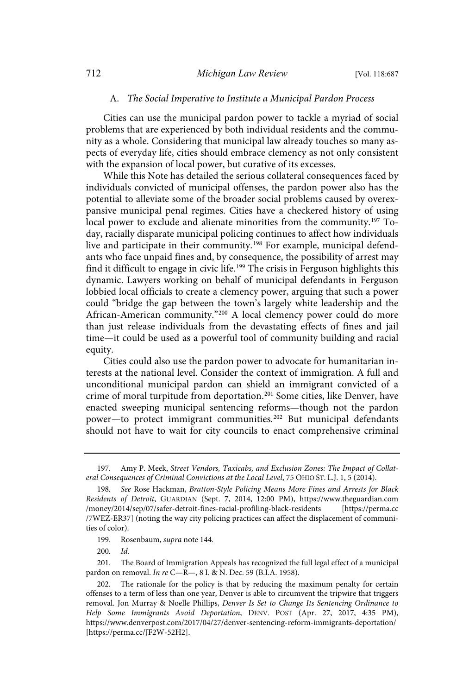#### A. The Social Imperative to Institute a Municipal Pardon Process

Cities can use the municipal pardon power to tackle a myriad of social problems that are experienced by both individual residents and the community as a whole. Considering that municipal law already touches so many aspects of everyday life, cities should embrace clemency as not only consistent with the expansion of local power, but curative of its excesses.

While this Note has detailed the serious collateral consequences faced by individuals convicted of municipal offenses, the pardon power also has the potential to alleviate some of the broader social problems caused by overexpansive municipal penal regimes. Cities have a checkered history of using local power to exclude and alienate minorities from the community. <sup>197</sup> Today, racially disparate municipal policing continues to affect how individuals live and participate in their community.<sup>198</sup> For example, municipal defendants who face unpaid fines and, by consequence, the possibility of arrest may find it difficult to engage in civic life. <sup>199</sup> The crisis in Ferguson highlights this dynamic. Lawyers working on behalf of municipal defendants in Ferguson lobbied local officials to create a clemency power, arguing that such a power could "bridge the gap between the town's largely white leadership and the African-American community."<sup>200</sup> A local clemency power could do more than just release individuals from the devastating effects of fines and jail time—it could be used as a powerful tool of community building and racial equity.

Cities could also use the pardon power to advocate for humanitarian interests at the national level. Consider the context of immigration. A full and unconditional municipal pardon can shield an immigrant convicted of a crime of moral turpitude from deportation. <sup>201</sup> Some cities, like Denver, have enacted sweeping municipal sentencing reforms—though not the pardon power—to protect immigrant communities.<sup>202</sup> But municipal defendants should not have to wait for city councils to enact comprehensive criminal

 $200.$   $Id.$ 

<sup>197.</sup> Amy P. Meek, Street Vendors, Taxicabs, and Exclusion Zones: The Impact of Collateral Consequences of Criminal Convictions at the Local Level, 75 OHIO ST. L.J. 1, 5 (2014).

<sup>198.</sup> See Rose Hackman, Bratton-Style Policing Means More Fines and Arrests for Black Residents of Detroit, GUARDIAN (Sept. 7, 2014, 12:00 PM), https://www.theguardian.com /money/2014/sep/07/safer-detroit-fines-racial-profiling-black-residents [https://perma.cc /7WEZ-ER37] (noting the way city policing practices can affect the displacement of communities of color).

<sup>199.</sup> Rosenbaum, supra note 144.

<sup>201.</sup> The Board of Immigration Appeals has recognized the full legal effect of a municipal pardon on removal. In re C—R—, 8 I. & N. Dec. 59 (B.I.A. 1958).

<sup>202.</sup> The rationale for the policy is that by reducing the maximum penalty for certain offenses to a term of less than one year, Denver is able to circumvent the tripwire that triggers removal. Jon Murray & Noelle Phillips, Denver Is Set to Change Its Sentencing Ordinance to Help Some Immigrants Avoid Deportation, DENV. POST (Apr. 27, 2017, 4:35 PM), https://www.denverpost.com/2017/04/27/denver-sentencing-reform-immigrants-deportation/ [https://perma.cc/JF2W-52H2].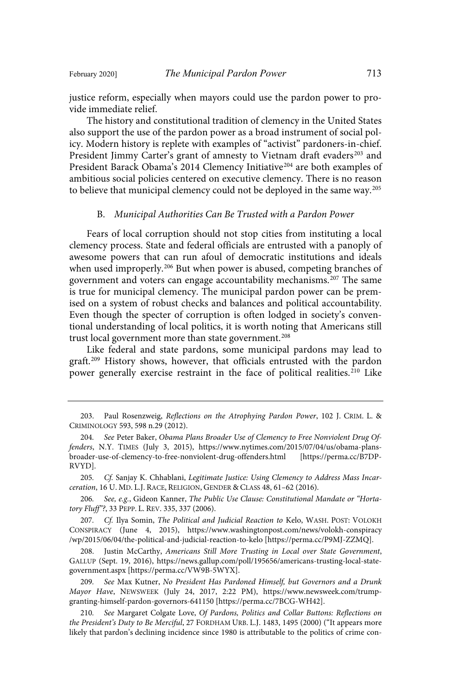justice reform, especially when mayors could use the pardon power to provide immediate relief.

The history and constitutional tradition of clemency in the United States also support the use of the pardon power as a broad instrument of social policy. Modern history is replete with examples of "activist" pardoners-in-chief. President Jimmy Carter's grant of amnesty to Vietnam draft evaders<sup>203</sup> and President Barack Obama's 2014 Clemency Initiative<sup>204</sup> are both examples of ambitious social policies centered on executive clemency. There is no reason to believe that municipal clemency could not be deployed in the same way.<sup>205</sup>

#### B. Municipal Authorities Can Be Trusted with a Pardon Power

Fears of local corruption should not stop cities from instituting a local clemency process. State and federal officials are entrusted with a panoply of awesome powers that can run afoul of democratic institutions and ideals when used improperly.<sup>206</sup> But when power is abused, competing branches of government and voters can engage accountability mechanisms.<sup>207</sup> The same is true for municipal clemency. The municipal pardon power can be premised on a system of robust checks and balances and political accountability. Even though the specter of corruption is often lodged in society's conventional understanding of local politics, it is worth noting that Americans still trust local government more than state government.<sup>208</sup>

Like federal and state pardons, some municipal pardons may lead to graft. <sup>209</sup> History shows, however, that officials entrusted with the pardon power generally exercise restraint in the face of political realities.<sup>210</sup> Like

205. Cf. Sanjay K. Chhablani, Legitimate Justice: Using Clemency to Address Mass Incarceration, 16 U. MD. L.J. RACE, RELIGION, GENDER & CLASS 48, 61–62 (2016).

206. See, e.g., Gideon Kanner, The Public Use Clause: Constitutional Mandate or "Hortatory Fluff"?, 33 PEPP. L. REV. 335, 337 (2006).

207. Cf. Ilya Somin, The Political and Judicial Reaction to Kelo, WASH. POST: VOLOKH CONSPIRACY (June 4, 2015), https://www.washingtonpost.com/news/volokh-conspiracy /wp/2015/06/04/the-political-and-judicial-reaction-to-kelo [https://perma.cc/P9MJ-ZZMQ].

Justin McCarthy, Americans Still More Trusting in Local over State Government, GALLUP (Sept. 19, 2016), https://news.gallup.com/poll/195656/americans-trusting-local-stategovernment.aspx [https://perma.cc/VW9B-5WYX].

209. See Max Kutner, No President Has Pardoned Himself, but Governors and a Drunk Mayor Have, NEWSWEEK (July 24, 2017, 2:22 PM), https://www.newsweek.com/trumpgranting-himself-pardon-governors-641150 [https://perma.cc/7BCG-WH42].

210. See Margaret Colgate Love, Of Pardons, Politics and Collar Buttons: Reflections on the President's Duty to Be Merciful, 27 FORDHAM URB. L.J. 1483, 1495 (2000) ("It appears more likely that pardon's declining incidence since 1980 is attributable to the politics of crime con-

<sup>203.</sup> Paul Rosenzweig, Reflections on the Atrophying Pardon Power, 102 J. CRIM. L. & CRIMINOLOGY 593, 598 n.29 (2012).

<sup>204.</sup> See Peter Baker, Obama Plans Broader Use of Clemency to Free Nonviolent Drug Offenders, N.Y. TIMES (July 3, 2015), https://www.nytimes.com/2015/07/04/us/obama-plansbroader-use-of-clemency-to-free-nonviolent-drug-offenders.html [https://perma.cc/B7DP-RVYD].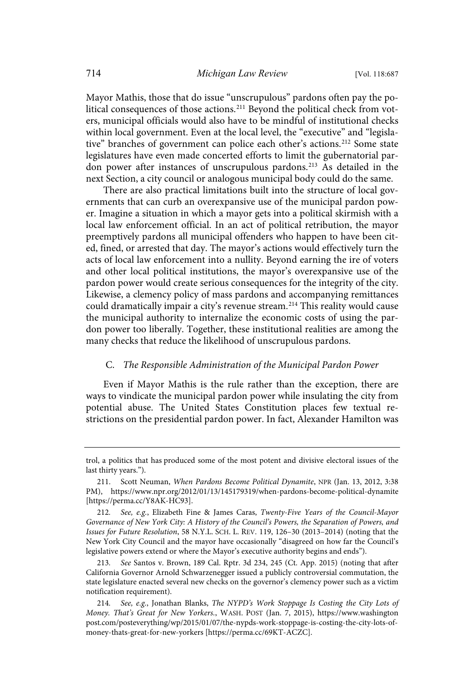Mayor Mathis, those that do issue "unscrupulous" pardons often pay the political consequences of those actions.<sup>211</sup> Beyond the political check from voters, municipal officials would also have to be mindful of institutional checks within local government. Even at the local level, the "executive" and "legislative" branches of government can police each other's actions.<sup>212</sup> Some state legislatures have even made concerted efforts to limit the gubernatorial pardon power after instances of unscrupulous pardons.<sup>213</sup> As detailed in the next Section, a city council or analogous municipal body could do the same.

There are also practical limitations built into the structure of local governments that can curb an overexpansive use of the municipal pardon power. Imagine a situation in which a mayor gets into a political skirmish with a local law enforcement official. In an act of political retribution, the mayor preemptively pardons all municipal offenders who happen to have been cited, fined, or arrested that day. The mayor's actions would effectively turn the acts of local law enforcement into a nullity. Beyond earning the ire of voters and other local political institutions, the mayor's overexpansive use of the pardon power would create serious consequences for the integrity of the city. Likewise, a clemency policy of mass pardons and accompanying remittances could dramatically impair a city's revenue stream.<sup>214</sup> This reality would cause the municipal authority to internalize the economic costs of using the pardon power too liberally. Together, these institutional realities are among the many checks that reduce the likelihood of unscrupulous pardons.

## C. The Responsible Administration of the Municipal Pardon Power

Even if Mayor Mathis is the rule rather than the exception, there are ways to vindicate the municipal pardon power while insulating the city from potential abuse. The United States Constitution places few textual restrictions on the presidential pardon power. In fact, Alexander Hamilton was

See Santos v. Brown, 189 Cal. Rptr. 3d 234, 245 (Ct. App. 2015) (noting that after California Governor Arnold Schwarzenegger issued a publicly controversial commutation, the state legislature enacted several new checks on the governor's clemency power such as a victim notification requirement).

trol, a politics that has produced some of the most potent and divisive electoral issues of the last thirty years.").

<sup>211.</sup> Scott Neuman, When Pardons Become Political Dynamite, NPR (Jan. 13, 2012, 3:38 PM), https://www.npr.org/2012/01/13/145179319/when-pardons-become-political-dynamite [https://perma.cc/Y8AK-HC93].

<sup>212.</sup> See, e.g., Elizabeth Fine & James Caras, Twenty-Five Years of the Council-Mayor Governance of New York City: A History of the Council's Powers, the Separation of Powers, and Issues for Future Resolution, 58 N.Y.L. SCH. L. REV. 119, 126–30 (2013–2014) (noting that the New York City Council and the mayor have occasionally "disagreed on how far the Council's legislative powers extend or where the Mayor's executive authority begins and ends").

<sup>214.</sup> See, e.g., Jonathan Blanks, The NYPD's Work Stoppage Is Costing the City Lots of Money. That's Great for New Yorkers., WASH. POST (Jan. 7, 2015), https://www.washington post.com/posteverything/wp/2015/01/07/the-nypds-work-stoppage-is-costing-the-city-lots-ofmoney-thats-great-for-new-yorkers [https://perma.cc/69KT-ACZC].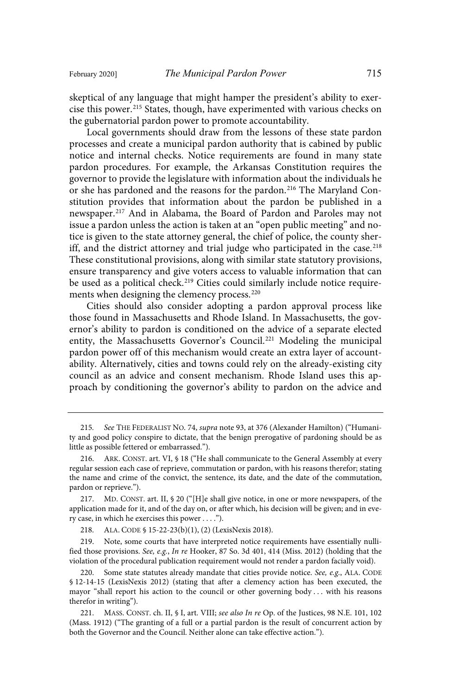skeptical of any language that might hamper the president's ability to exercise this power. <sup>215</sup> States, though, have experimented with various checks on the gubernatorial pardon power to promote accountability.

Local governments should draw from the lessons of these state pardon processes and create a municipal pardon authority that is cabined by public notice and internal checks. Notice requirements are found in many state pardon procedures. For example, the Arkansas Constitution requires the governor to provide the legislature with information about the individuals he or she has pardoned and the reasons for the pardon.<sup>216</sup> The Maryland Constitution provides that information about the pardon be published in a newspaper.<sup>217</sup> And in Alabama, the Board of Pardon and Paroles may not issue a pardon unless the action is taken at an "open public meeting" and notice is given to the state attorney general, the chief of police, the county sheriff, and the district attorney and trial judge who participated in the case.<sup>218</sup> These constitutional provisions, along with similar state statutory provisions, ensure transparency and give voters access to valuable information that can be used as a political check. <sup>219</sup> Cities could similarly include notice requirements when designing the clemency process.<sup>220</sup>

Cities should also consider adopting a pardon approval process like those found in Massachusetts and Rhode Island. In Massachusetts, the governor's ability to pardon is conditioned on the advice of a separate elected entity, the Massachusetts Governor's Council.<sup>221</sup> Modeling the municipal pardon power off of this mechanism would create an extra layer of accountability. Alternatively, cities and towns could rely on the already-existing city council as an advice and consent mechanism. Rhode Island uses this approach by conditioning the governor's ability to pardon on the advice and

218. ALA. CODE § 15-22-23(b)(1), (2) (LexisNexis 2018).

219. Note, some courts that have interpreted notice requirements have essentially nullified those provisions. See, e.g., In re Hooker, 87 So. 3d 401, 414 (Miss. 2012) (holding that the violation of the procedural publication requirement would not render a pardon facially void).

220. Some state statutes already mandate that cities provide notice. See, e.g., ALA. CODE § 12-14-15 (LexisNexis 2012) (stating that after a clemency action has been executed, the mayor "shall report his action to the council or other governing body . . . with his reasons therefor in writing").

<sup>215.</sup> See THE FEDERALIST NO. 74, supra note 93, at 376 (Alexander Hamilton) ("Humanity and good policy conspire to dictate, that the benign prerogative of pardoning should be as little as possible fettered or embarrassed.").

<sup>216.</sup> ARK. CONST. art. VI, § 18 ("He shall communicate to the General Assembly at every regular session each case of reprieve, commutation or pardon, with his reasons therefor; stating the name and crime of the convict, the sentence, its date, and the date of the commutation, pardon or reprieve.").

<sup>217.</sup> MD. CONST. art. II, § 20 ("[H]e shall give notice, in one or more newspapers, of the application made for it, and of the day on, or after which, his decision will be given; and in every case, in which he exercises this power . . . .").

<sup>221.</sup> MASS. CONST. ch. II, § I, art. VIII; see also In re Op. of the Justices, 98 N.E. 101, 102 (Mass. 1912) ("The granting of a full or a partial pardon is the result of concurrent action by both the Governor and the Council. Neither alone can take effective action.").